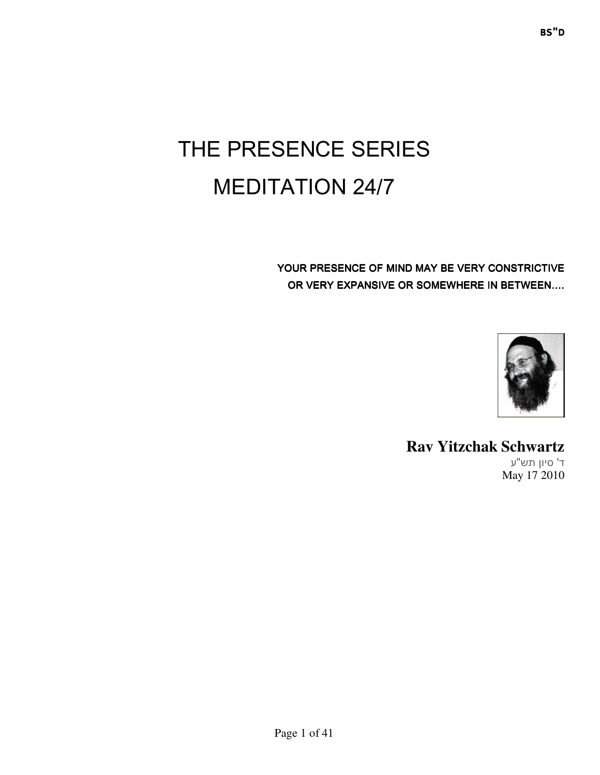# THE PRESENCE SERIES MEDITATION 24/7

YOUR PRESENCE OF MIND MAY BE VERY CONSTRICTIVE OR VERY EXPANSIVE OR SOMEWHERE IN BETWEEN....



# **Rav Yitzchak Schwartz**

' ד סיון תש ע" May 17 2010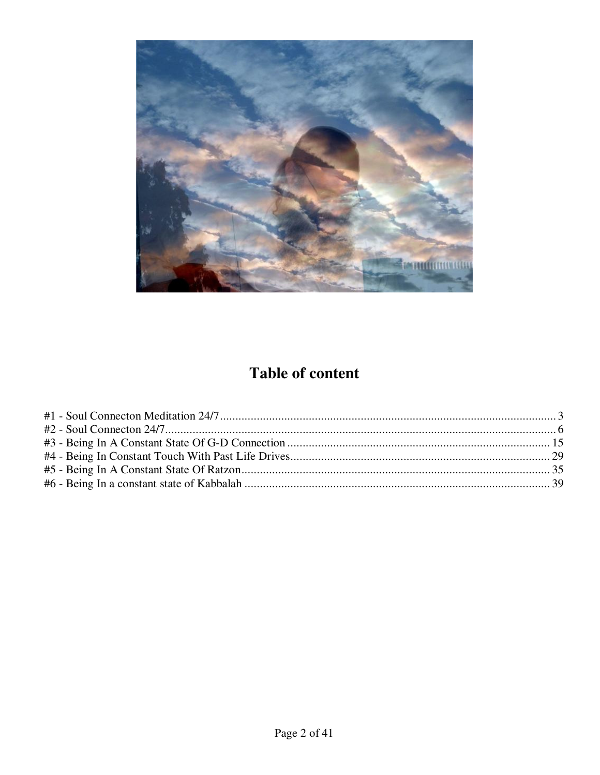

# **Table of content**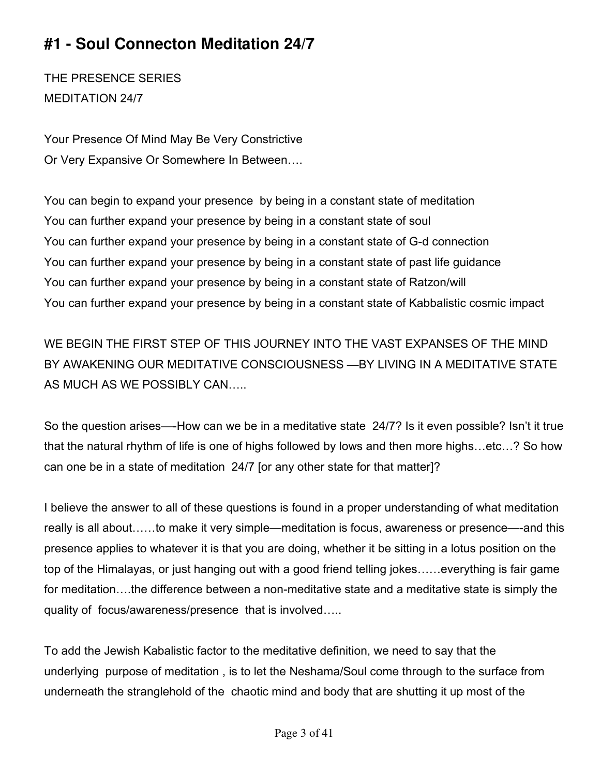# **#1 - Soul Connecton Meditation 24/7**

THE PRESENCE SERIES MEDITATION 24/7

Your Presence Of Mind May Be Very Constrictive Or Very Expansive Or Somewhere In Between….

You can begin to expand your presence by being in a constant state of meditation You can further expand your presence by being in a constant state of soul You can further expand your presence by being in a constant state of G-d connection You can further expand your presence by being in a constant state of past life guidance You can further expand your presence by being in a constant state of Ratzon/will You can further expand your presence by being in a constant state of Kabbalistic cosmic impact

WE BEGIN THE FIRST STEP OF THIS JOURNEY INTO THE VAST EXPANSES OF THE MIND BY AWAKENING OUR MEDITATIVE CONSCIOUSNESS —BY LIVING IN A MEDITATIVE STATE AS MUCH AS WE POSSIBLY CAN…..

So the question arises—-How can we be in a meditative state 24/7? Is it even possible? Isn't it true that the natural rhythm of life is one of highs followed by lows and then more highs…etc…? So how can one be in a state of meditation 24/7 [or any other state for that matter]?

I believe the answer to all of these questions is found in a proper understanding of what meditation really is all about……to make it very simple—meditation is focus, awareness or presence—-and this presence applies to whatever it is that you are doing, whether it be sitting in a lotus position on the top of the Himalayas, or just hanging out with a good friend telling jokes……everything is fair game for meditation….the difference between a non-meditative state and a meditative state is simply the quality of focus/awareness/presence that is involved…..

To add the Jewish Kabalistic factor to the meditative definition, we need to say that the underlying purpose of meditation , is to let the Neshama/Soul come through to the surface from underneath the stranglehold of the chaotic mind and body that are shutting it up most of the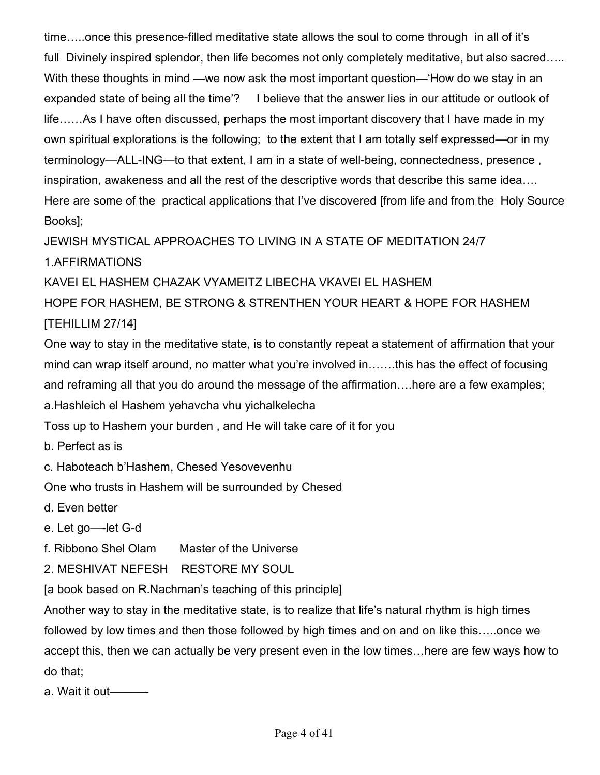time…..once this presence-filled meditative state allows the soul to come through in all of it's full Divinely inspired splendor, then life becomes not only completely meditative, but also sacred….. With these thoughts in mind —we now ask the most important question—'How do we stay in an expanded state of being all the time'? I believe that the answer lies in our attitude or outlook of life……As I have often discussed, perhaps the most important discovery that I have made in my own spiritual explorations is the following; to the extent that I am totally self expressed—or in my terminology—ALL-ING—to that extent, I am in a state of well-being, connectedness, presence , inspiration, awakeness and all the rest of the descriptive words that describe this same idea…. Here are some of the practical applications that I've discovered [from life and from the Holy Source Books];

JEWISH MYSTICAL APPROACHES TO LIVING IN A STATE OF MEDITATION 24/7

1.AFFIRMATIONS

KAVEI EL HASHEM CHAZAK VYAMEITZ LIBECHA VKAVEI EL HASHEM

HOPE FOR HASHEM, BE STRONG & STRENTHEN YOUR HEART & HOPE FOR HASHEM [TEHILLIM 27/14]

One way to stay in the meditative state, is to constantly repeat a statement of affirmation that your mind can wrap itself around, no matter what you're involved in…….this has the effect of focusing and reframing all that you do around the message of the affirmation….here are a few examples; a.Hashleich el Hashem yehavcha vhu yichalkelecha

Toss up to Hashem your burden , and He will take care of it for you

b. Perfect as is

c. Haboteach b'Hashem, Chesed Yesovevenhu

One who trusts in Hashem will be surrounded by Chesed

d. Even better

e. Let go—-let G-d

f. Ribbono Shel Olam Master of the Universe

2. MESHIVAT NEFESH RESTORE MY SOUL

[a book based on R.Nachman's teaching of this principle]

Another way to stay in the meditative state, is to realize that life's natural rhythm is high times followed by low times and then those followed by high times and on and on like this…..once we accept this, then we can actually be very present even in the low times…here are few ways how to do that;

a. Wait it out———-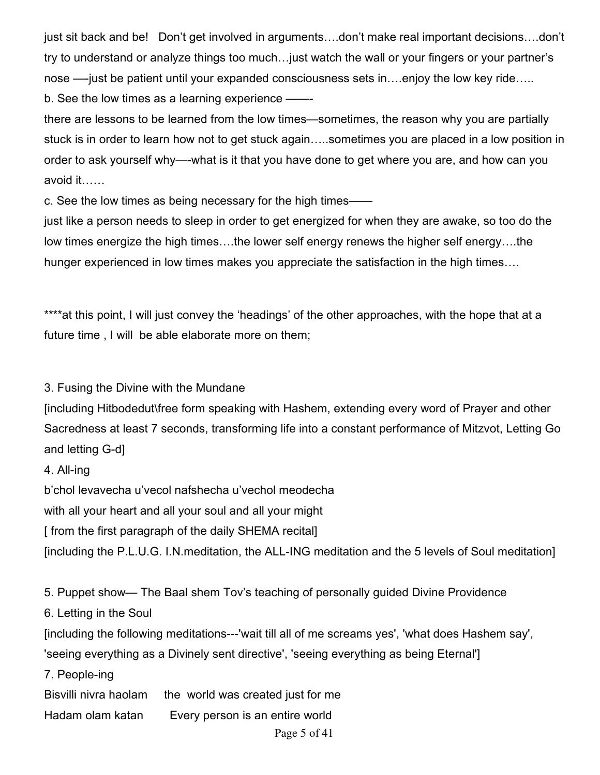just sit back and be! Don't get involved in arguments….don't make real important decisions….don't try to understand or analyze things too much…just watch the wall or your fingers or your partner's nose —-just be patient until your expanded consciousness sets in....enjoy the low key ride..... b. See the low times as a learning experience –

there are lessons to be learned from the low times—sometimes, the reason why you are partially stuck is in order to learn how not to get stuck again…..sometimes you are placed in a low position in order to ask yourself why—-what is it that you have done to get where you are, and how can you avoid it……

c. See the low times as being necessary for the high times——

just like a person needs to sleep in order to get energized for when they are awake, so too do the low times energize the high times….the lower self energy renews the higher self energy….the hunger experienced in low times makes you appreciate the satisfaction in the high times….

\*\*\*\*at this point, I will just convey the 'headings' of the other approaches, with the hope that at a future time , I will be able elaborate more on them;

3. Fusing the Divine with the Mundane

[including Hitbodedut\free form speaking with Hashem, extending every word of Prayer and other Sacredness at least 7 seconds, transforming life into a constant performance of Mitzvot, Letting Go and letting G-d]

4. All-ing

b'chol levavecha u'vecol nafshecha u'vechol meodecha

with all your heart and all your soul and all your might

[ from the first paragraph of the daily SHEMA recital]

[including the P.L.U.G. I.N.meditation, the ALL-ING meditation and the 5 levels of Soul meditation]

5. Puppet show— The Baal shem Tov's teaching of personally guided Divine Providence

6. Letting in the Soul

[including the following meditations---'wait till all of me screams yes', 'what does Hashem say',

'seeing everything as a Divinely sent directive', 'seeing everything as being Eternal']

7. People-ing

Bisvilli nivra haolam the world was created just for me

Hadam olam katan Every person is an entire world

Page 5 of 41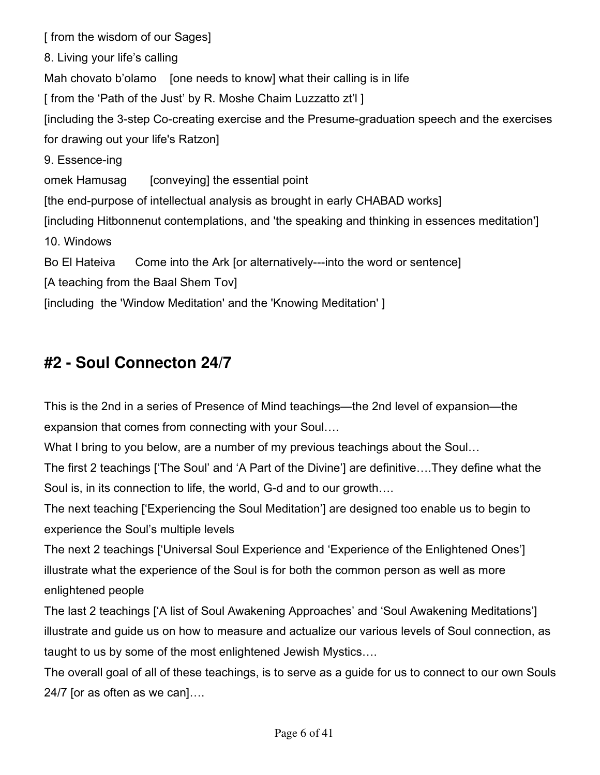[ from the wisdom of our Sages] 8. Living your life's calling Mah chovato b'olamo [one needs to know] what their calling is in life [ from the 'Path of the Just' by R. Moshe Chaim Luzzatto zt'l ] [including the 3-step Co-creating exercise and the Presume-graduation speech and the exercises for drawing out your life's Ratzon] 9. Essence-ing omek Hamusag [conveying] the essential point [the end-purpose of intellectual analysis as brought in early CHABAD works] [including Hitbonnenut contemplations, and 'the speaking and thinking in essences meditation'] 10. Windows Bo El Hateiva Come into the Ark [or alternatively---into the word or sentence] [A teaching from the Baal Shem Tov] [including the 'Window Meditation' and the 'Knowing Meditation' ]

## **#2 - Soul Connecton 24/7**

This is the 2nd in a series of Presence of Mind teachings—the 2nd level of expansion—the expansion that comes from connecting with your Soul….

What I bring to you below, are a number of my previous teachings about the Soul…

The first 2 teachings ['The Soul' and 'A Part of the Divine'] are definitive….They define what the Soul is, in its connection to life, the world, G-d and to our growth….

The next teaching ['Experiencing the Soul Meditation'] are designed too enable us to begin to experience the Soul's multiple levels

The next 2 teachings ['Universal Soul Experience and 'Experience of the Enlightened Ones'] illustrate what the experience of the Soul is for both the common person as well as more enlightened people

The last 2 teachings ['A list of Soul Awakening Approaches' and 'Soul Awakening Meditations'] illustrate and guide us on how to measure and actualize our various levels of Soul connection, as taught to us by some of the most enlightened Jewish Mystics….

The overall goal of all of these teachings, is to serve as a guide for us to connect to our own Souls 24/7 [or as often as we can]….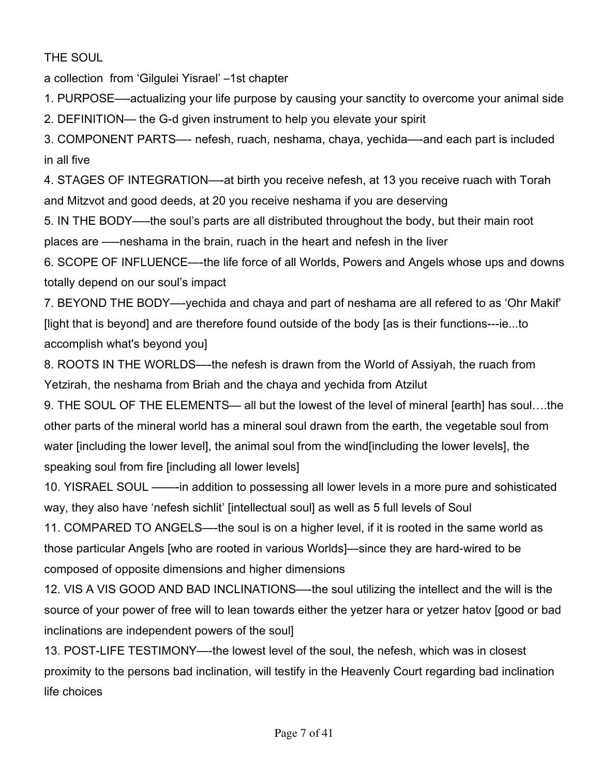#### THE SOUL

a collection from 'Gilgulei Yisrael' –1st chapter

1. PURPOSE—-actualizing your life purpose by causing your sanctity to overcome your animal side

2. DEFINITION— the G-d given instrument to help you elevate your spirit

3. COMPONENT PARTS—- nefesh, ruach, neshama, chaya, yechida—-and each part is included in all five

4. STAGES OF INTEGRATION—-at birth you receive nefesh, at 13 you receive ruach with Torah and Mitzvot and good deeds, at 20 you receive neshama if you are deserving

5. IN THE BODY—–the soul's parts are all distributed throughout the body, but their main root places are —–neshama in the brain, ruach in the heart and nefesh in the liver

6. SCOPE OF INFLUENCE—-the life force of all Worlds, Powers and Angels whose ups and downs totally depend on our soul's impact

7. BEYOND THE BODY—-yechida and chaya and part of neshama are all refered to as 'Ohr Makif' [light that is beyond] and are therefore found outside of the body [as is their functions---ie...to accomplish what's beyond you]

8. ROOTS IN THE WORLDS—-the nefesh is drawn from the World of Assiyah, the ruach from Yetzirah, the neshama from Briah and the chaya and yechida from Atzilut

9. THE SOUL OF THE ELEMENTS— all but the lowest of the level of mineral [earth] has soul….the other parts of the mineral world has a mineral soul drawn from the earth, the vegetable soul from water [including the lower level], the animal soul from the wind[including the lower levels], the speaking soul from fire [including all lower levels]

10. YISRAEL SOUL ——-in addition to possessing all lower levels in a more pure and sohisticated way, they also have 'nefesh sichlit' [intellectual soul] as well as 5 full levels of Soul

11. COMPARED TO ANGELS—-the soul is on a higher level, if it is rooted in the same world as those particular Angels [who are rooted in various Worlds]—since they are hard-wired to be composed of opposite dimensions and higher dimensions

12. VIS A VIS GOOD AND BAD INCLINATIONS—-the soul utilizing the intellect and the will is the source of your power of free will to lean towards either the yetzer hara or yetzer hatov [good or bad inclinations are independent powers of the soul]

13. POST-LIFE TESTIMONY—-the lowest level of the soul, the nefesh, which was in closest proximity to the persons bad inclination, will testify in the Heavenly Court regarding bad inclination life choices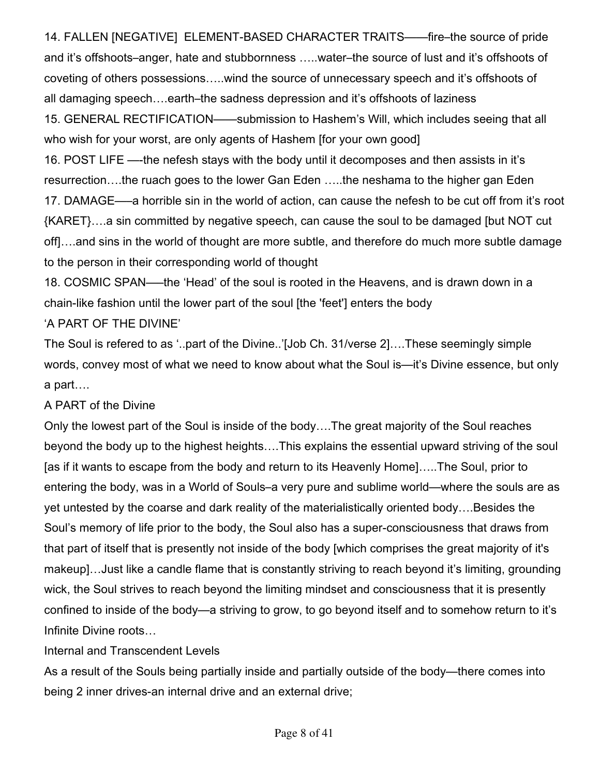14. FALLEN [NEGATIVE] ELEMENT-BASED CHARACTER TRAITS——fire–the source of pride and it's offshoots–anger, hate and stubbornness …..water–the source of lust and it's offshoots of coveting of others possessions…..wind the source of unnecessary speech and it's offshoots of all damaging speech….earth–the sadness depression and it's offshoots of laziness 15. GENERAL RECTIFICATION——submission to Hashem's Will, which includes seeing that all who wish for your worst, are only agents of Hashem [for your own good] 16. POST LIFE —-the nefesh stays with the body until it decomposes and then assists in it's resurrection….the ruach goes to the lower Gan Eden …..the neshama to the higher gan Eden 17. DAMAGE—–a horrible sin in the world of action, can cause the nefesh to be cut off from it's root {KARET}….a sin committed by negative speech, can cause the soul to be damaged [but NOT cut off]….and sins in the world of thought are more subtle, and therefore do much more subtle damage to the person in their corresponding world of thought

18. COSMIC SPAN—–the 'Head' of the soul is rooted in the Heavens, and is drawn down in a chain-like fashion until the lower part of the soul [the 'feet'] enters the body

#### 'A PART OF THE DIVINE'

The Soul is refered to as '..part of the Divine..'[Job Ch. 31/verse 2]….These seemingly simple words, convey most of what we need to know about what the Soul is—it's Divine essence, but only a part….

#### A PART of the Divine

Only the lowest part of the Soul is inside of the body….The great majority of the Soul reaches beyond the body up to the highest heights….This explains the essential upward striving of the soul [as if it wants to escape from the body and return to its Heavenly Home]…..The Soul, prior to entering the body, was in a World of Souls–a very pure and sublime world—where the souls are as yet untested by the coarse and dark reality of the materialistically oriented body….Besides the Soul's memory of life prior to the body, the Soul also has a super-consciousness that draws from that part of itself that is presently not inside of the body [which comprises the great majority of it's makeup]…Just like a candle flame that is constantly striving to reach beyond it's limiting, grounding wick, the Soul strives to reach beyond the limiting mindset and consciousness that it is presently confined to inside of the body—a striving to grow, to go beyond itself and to somehow return to it's Infinite Divine roots…

#### Internal and Transcendent Levels

As a result of the Souls being partially inside and partially outside of the body—there comes into being 2 inner drives-an internal drive and an external drive;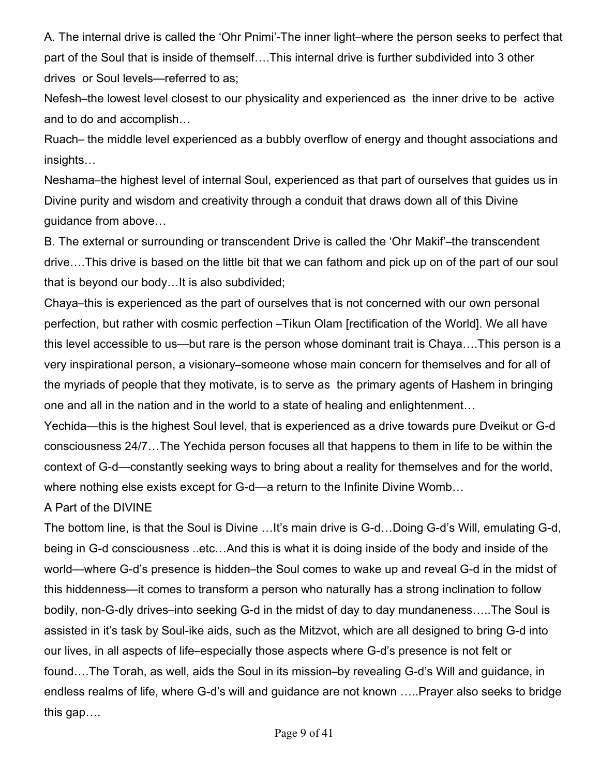A. The internal drive is called the 'Ohr Pnimi'-The inner light–where the person seeks to perfect that part of the Soul that is inside of themself….This internal drive is further subdivided into 3 other drives or Soul levels—referred to as;

Nefesh–the lowest level closest to our physicality and experienced as the inner drive to be active and to do and accomplish…

Ruach– the middle level experienced as a bubbly overflow of energy and thought associations and insights…

Neshama–the highest level of internal Soul, experienced as that part of ourselves that guides us in Divine purity and wisdom and creativity through a conduit that draws down all of this Divine guidance from above…

B. The external or surrounding or transcendent Drive is called the 'Ohr Makif'–the transcendent drive….This drive is based on the little bit that we can fathom and pick up on of the part of our soul that is beyond our body…It is also subdivided;

Chaya–this is experienced as the part of ourselves that is not concerned with our own personal perfection, but rather with cosmic perfection –Tikun Olam [rectification of the World]. We all have this level accessible to us—but rare is the person whose dominant trait is Chaya….This person is a very inspirational person, a visionary–someone whose main concern for themselves and for all of the myriads of people that they motivate, is to serve as the primary agents of Hashem in bringing one and all in the nation and in the world to a state of healing and enlightenment…

Yechida—this is the highest Soul level, that is experienced as a drive towards pure Dveikut or G-d consciousness 24/7…The Yechida person focuses all that happens to them in life to be within the context of G-d—constantly seeking ways to bring about a reality for themselves and for the world, where nothing else exists except for G-d—a return to the Infinite Divine Womb…

A Part of the DIVINE

The bottom line, is that the Soul is Divine …It's main drive is G-d…Doing G-d's Will, emulating G-d, being in G-d consciousness ..etc…And this is what it is doing inside of the body and inside of the world—where G-d's presence is hidden–the Soul comes to wake up and reveal G-d in the midst of this hiddenness—it comes to transform a person who naturally has a strong inclination to follow bodily, non-G-dly drives–into seeking G-d in the midst of day to day mundaneness…..The Soul is assisted in it's task by Soul-ike aids, such as the Mitzvot, which are all designed to bring G-d into our lives, in all aspects of life–especially those aspects where G-d's presence is not felt or found….The Torah, as well, aids the Soul in its mission–by revealing G-d's Will and guidance, in endless realms of life, where G-d's will and guidance are not known …..Prayer also seeks to bridge this gap….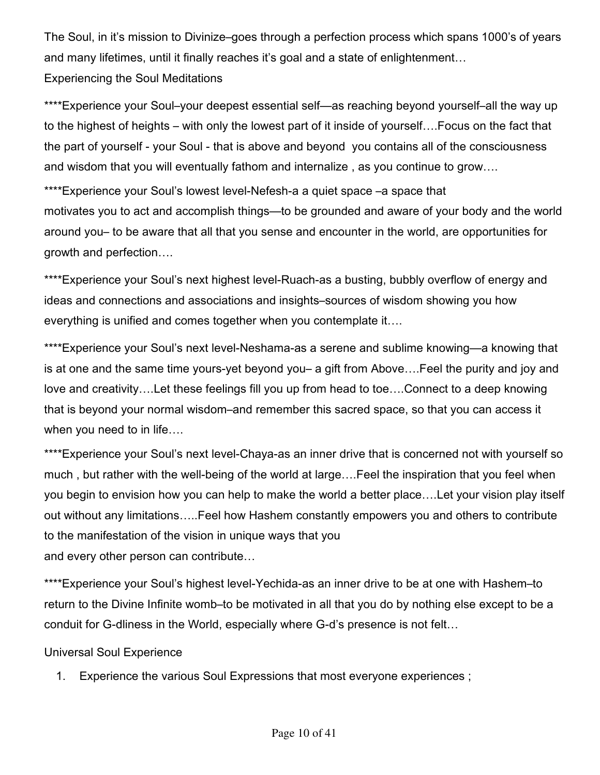The Soul, in it's mission to Divinize–goes through a perfection process which spans 1000's of years and many lifetimes, until it finally reaches it's goal and a state of enlightenment… Experiencing the Soul Meditations

\*\*\*\*Experience your Soul–your deepest essential self—as reaching beyond yourself–all the way up to the highest of heights – with only the lowest part of it inside of yourself….Focus on the fact that the part of yourself - your Soul - that is above and beyond you contains all of the consciousness and wisdom that you will eventually fathom and internalize , as you continue to grow….

\*\*\*\*Experience your Soul's lowest level-Nefesh-a a quiet space -a space that motivates you to act and accomplish things—to be grounded and aware of your body and the world around you– to be aware that all that you sense and encounter in the world, are opportunities for growth and perfection….

\*\*\*\*Experience your Soul's next highest level-Ruach-as a busting, bubbly overflow of energy and ideas and connections and associations and insights–sources of wisdom showing you how everything is unified and comes together when you contemplate it….

\*\*\*\*Experience your Soul's next level-Neshama-as a serene and sublime knowing—a knowing that is at one and the same time yours-yet beyond you– a gift from Above….Feel the purity and joy and love and creativity….Let these feelings fill you up from head to toe….Connect to a deep knowing that is beyond your normal wisdom–and remember this sacred space, so that you can access it when you need to in life….

\*\*\*\*Experience your Soul's next level-Chaya-as an inner drive that is concerned not with yourself so much , but rather with the well-being of the world at large….Feel the inspiration that you feel when you begin to envision how you can help to make the world a better place….Let your vision play itself out without any limitations…..Feel how Hashem constantly empowers you and others to contribute to the manifestation of the vision in unique ways that you and every other person can contribute…

\*\*\*\*Experience your Soul's highest level-Yechida-as an inner drive to be at one with Hashem-to return to the Divine Infinite womb–to be motivated in all that you do by nothing else except to be a conduit for G-dliness in the World, especially where G-d's presence is not felt…

#### Universal Soul Experience

1. Experience the various Soul Expressions that most everyone experiences ;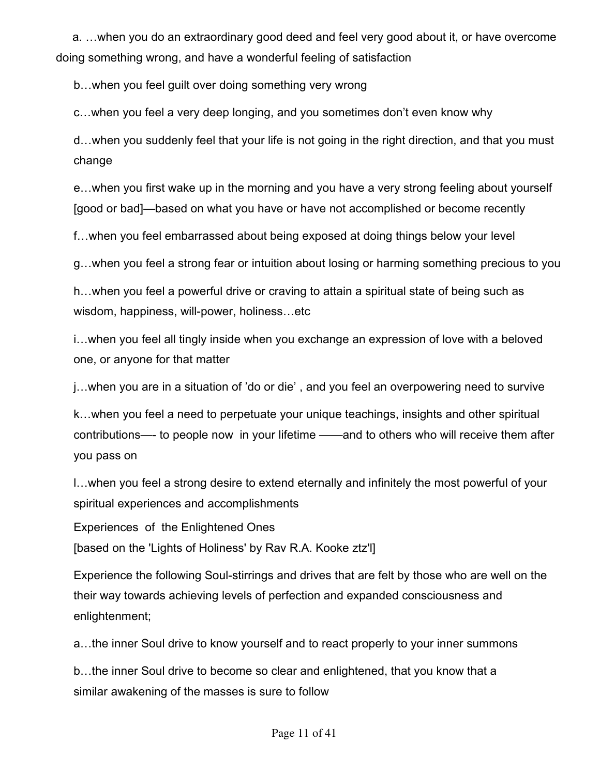a. …when you do an extraordinary good deed and feel very good about it, or have overcome doing something wrong, and have a wonderful feeling of satisfaction

b…when you feel guilt over doing something very wrong

c…when you feel a very deep longing, and you sometimes don't even know why

d…when you suddenly feel that your life is not going in the right direction, and that you must change

e…when you first wake up in the morning and you have a very strong feeling about yourself [good or bad]—based on what you have or have not accomplished or become recently

f…when you feel embarrassed about being exposed at doing things below your level

g…when you feel a strong fear or intuition about losing or harming something precious to you

h…when you feel a powerful drive or craving to attain a spiritual state of being such as wisdom, happiness, will-power, holiness…etc

i…when you feel all tingly inside when you exchange an expression of love with a beloved one, or anyone for that matter

j…when you are in a situation of 'do or die' , and you feel an overpowering need to survive

k…when you feel a need to perpetuate your unique teachings, insights and other spiritual contributions—- to people now in your lifetime ——and to others who will receive them after you pass on

l…when you feel a strong desire to extend eternally and infinitely the most powerful of your spiritual experiences and accomplishments

Experiences of the Enlightened Ones

[based on the 'Lights of Holiness' by Rav R.A. Kooke ztz'l]

Experience the following Soul-stirrings and drives that are felt by those who are well on the their way towards achieving levels of perfection and expanded consciousness and enlightenment;

a…the inner Soul drive to know yourself and to react properly to your inner summons

b…the inner Soul drive to become so clear and enlightened, that you know that a similar awakening of the masses is sure to follow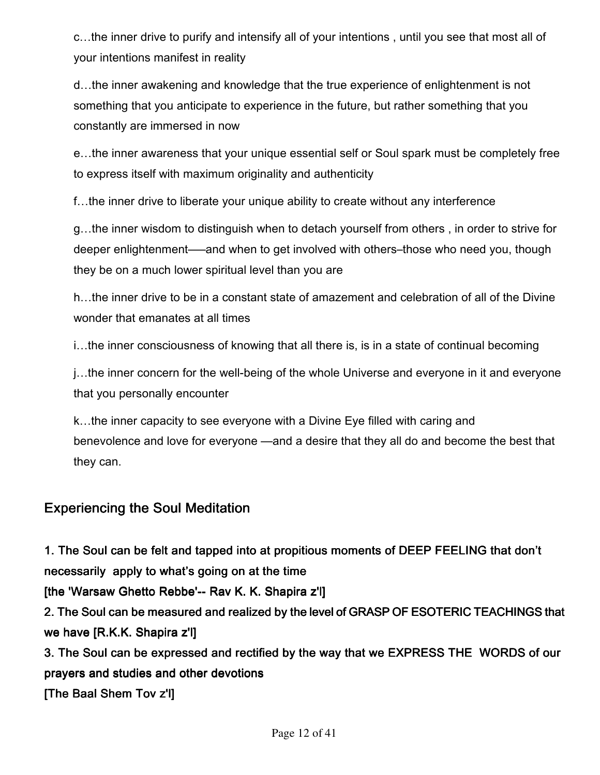c…the inner drive to purify and intensify all of your intentions , until you see that most all of your intentions manifest in reality

d…the inner awakening and knowledge that the true experience of enlightenment is not something that you anticipate to experience in the future, but rather something that you constantly are immersed in now

e…the inner awareness that your unique essential self or Soul spark must be completely free to express itself with maximum originality and authenticity

f…the inner drive to liberate your unique ability to create without any interference

g…the inner wisdom to distinguish when to detach yourself from others , in order to strive for deeper enlightenment—–and when to get involved with others–those who need you, though they be on a much lower spiritual level than you are

h…the inner drive to be in a constant state of amazement and celebration of all of the Divine wonder that emanates at all times

i…the inner consciousness of knowing that all there is, is in a state of continual becoming

j…the inner concern for the well-being of the whole Universe and everyone in it and everyone that you personally encounter

k…the inner capacity to see everyone with a Divine Eye filled with caring and benevolence and love for everyone —and a desire that they all do and become the best that they can.

### Experiencing the Soul Meditation

1. The Soul can be felt and tapped into at propitious moments of DEEP FEELING that don't necessarily apply to what's going on at the time

[the 'Warsaw Ghetto Rebbe'-- Rav K.K. Shapira z'l]

2. The Soul can be measured and realized by the level of GRASP OF ESOTERIC TEACHINGS that we have  $[R.K.K.$  Shapira z'l]

3. The Soul can be expressed and rectified by the way that we EXPRESS THE WORDS of our prayers and studies and other devotions [The Baal Shem Tov z'l]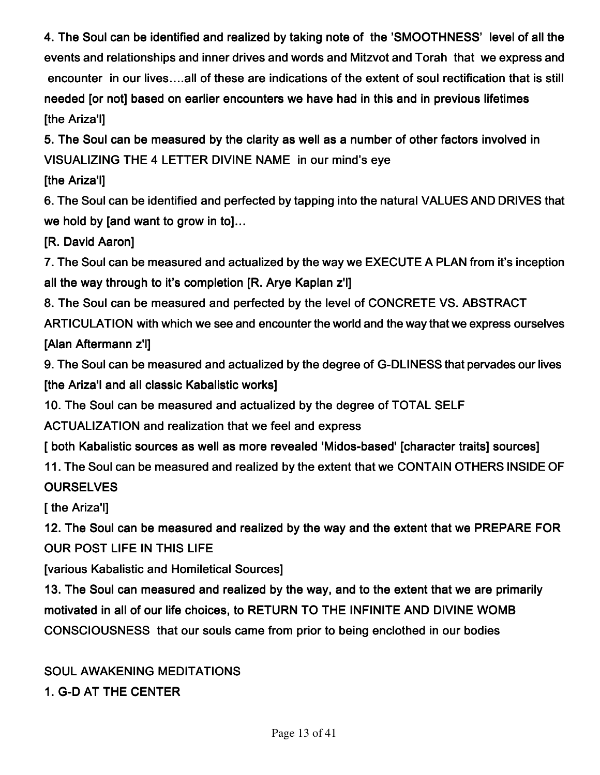4. The Soul can be identified and realized by taking note of the 'SMOOTHNESS' level of all the events and relationships and inner drives and words and Mitzvot and Torah that we express and encounter in our lives…..all of these are indications of the extent of soul rectification that is still needed [or not] based on earlier encounters we have had in this and in previous lifetimes **The Ariza'll** 

5. The Soul can be measured by the clarity as well as a number of other factors involved in VISUALIZING THE 4 LETTER DIVINE NAME in our mind's eye

#### [the Ariza'l]

6. The Soul can be identified and perfected by tapping into the natural VALUES AND DRIVES that we hold by [and want to grow in to]...

[R. David Aaron]

7. The Soul can be measured and actualized by the way we EXECUTE A PLAN from it's inception all the way through to it's completion [R. Arye Kaplan z'l]

8. The Soul can be measured and perfected by the level of CONCRETE VS. ABSTRACT

ARTICULATION with which we see and encounter the world and the way that we express ourselves [Alan Aftermann z'l]

9. The Soul can be measured and actualized by the degree of G-DLINESS that pervades our lives [the Ariza'l and all classic Kabalistic works]

10. The Soul can be measured and actualized by the degree of TOTAL SELF

ACTUALIZATION and realization that we feel and express

[ both Kabalistic sources as well as more revealed 'Midos-based' [character traits] sources]

11. The Soul can be measured and realized by the extent that we CONTAIN OTHERS INSIDE OF **OURSELVES** 

[ the Ariza'l]

12. The Soul can be measured and realized by the way and the extent that we PREPARE FOR OUR POST LIFE IN THIS LIFE

[various Kabalistic and Homiletical Sources]

13. The Soul can measured and realized by the way, and to the extent that we are primarily motivated in all of our life choices, to RETURN TO THE INFINITE AND DIVINE WOMB CONSCIOUSNESS that our souls came from prior to being enclothed in our bodies

### SOUL AWAKENING MEDITATIONS

1. G-D AT THE CENTER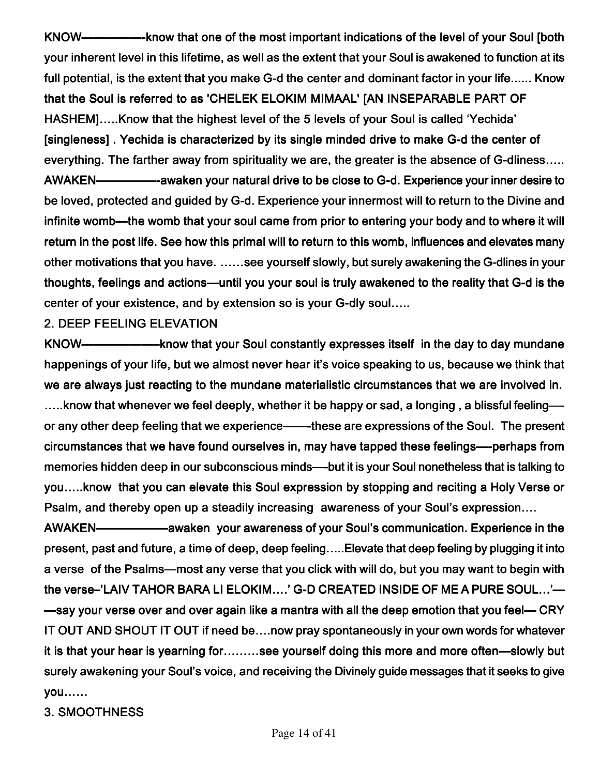KNOW—————- know that one of the most important indications of the level of your Soul [both your inherent level in this lifetime, as well as the extent that your Soul is awakened to function at its full potential, is the extent that you make G-d the center and dominant factor in your life...... Know that the Soul is referred to as 'CHELEK ELOKIM MIMAAL' [AN INSEPARABLE PART OF HASHEM]…..Know that the highest level of the 5 levels of your Soul is called 'Yechida' [singleness]. Yechida is characterized by its single minded drive to make G-d the center of everything. The farther away from spirituality we are, the greater is the absence of G-dliness….. AWAKEN——————-awaken your natural drive to be close to G-d. Experience your inner desire to be loved, protected and guided by G-d. Experience your innermost will to return to the Divine and infinite womb—the womb that your soul came from prior to entering your body and to where it will return in the post life. See how this primal will to return to this womb, influences and elevates many other motivations that you have. ……see yourself slowly, but surely awakening the G-dlines in your thoughts, feelings and actions—until you your soul is truly awakened to the reality that G-d is the center of your existence, and by extension so is your G-dly soul…..

2. DEEP FEELING ELEVATION

KNOW——————–know that your Soul constantly expresses itself –know that your Soul constantly expresses itself know that expresses itself in the day to day mundane in the day to day mundane happenings of your life, but we almost never hear it's voice speaking to us, because we think that we are always just reacting to the mundane materialistic circumstances that we are involved in.  $\dots$ know that whenever we feel deeply, whether it be happy or sad, a longing, a blissful feeling—or any other deep feeling that we experience——-these are expressions of the Soul. The present circumstances that we have found ourselves in, may have tapped these feelings—-perhaps from memories hidden deep in our subconscious minds—-but it is your Soul nonetheless that is talking to you....know that you can elevate this Soul expression by stopping and reciting a Holy Verse or Psalm, and thereby open up a steadily increasing awareness of your Soul's expression….

AWAKEN————————awaken your awareness of your Soul's communication. Experience in the present, past and future, a time of deep, deep feeling…..Elevate that deep feeling by plugging it into a verse of the Psalms—most any verse that you click with will do, but you may want to begin with the verse–'LAIV TAHOR BARA LI ELOKIM....' G-D CREATED INSIDE OF ME A PURE SOUL...'— —say your verse over and over again like a mantra with all the deep emotion that you feel— CRY IT OUT AND SHOUT IT OUT if need be….now pray spontaneously in your own words for whatever it is that your hear is yearning for………see yourself doing this more and more often—slowly but surely awakening your Soul's voice, and receiving the Divinely guide messages that it seeks to give you……

3. SMOOTHNESS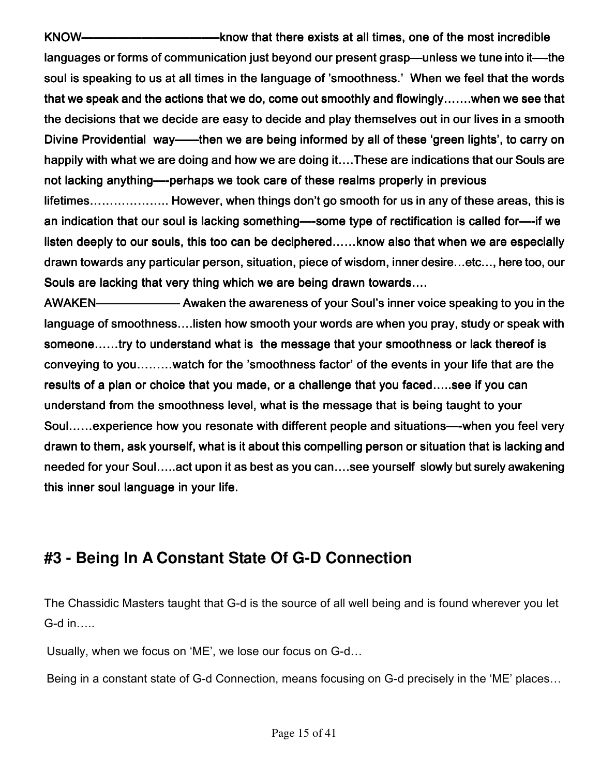KNOW——————————— KNOW———————————–know that there exists at all times, one of the mo –know exists one most incredible t languages or forms of communication just beyond our present grasp—unless we tune into it—-the soul is speaking to us at all times in the language of 'smoothness.' When we feel that the words. that we speak and the actions that we do, come out smoothly and flowingly…….when we see that the decisions that we decide are easy to decide and play themselves out in our lives in a smooth Divine Providential way——then we are being informed by all of these 'green lights', to carry on happily with what we are doing and how we are doing it….These are indications that our Souls are not lacking anything—-perhaps we took care of these realms properly in previous lifetimes……………….. However, when things don't go smooth for us in any of these areas, this is an indication that our soul is lacking something—-some type of rectification is called for—-if we listen deeply to our souls, this too can be deciphered……know also that when we are especially drawn towards any particular person, situation, piece of wisdom, inner desire…etc…, here too, our Souls are lacking that very thing which we are being drawn towards....

AWAKEN——————— AWAKEN——————— Awaken the awareness of your Soul's inner voice sp of Soul's inner speaking to you in the to in the language of smoothness….listen how smooth your words are when you pray, study or speak with someone……try to understand what is the message that your smoothness or lack thereof is conveying to you………watch for the 'smoothness factor' of the events in your life that are the results of a plan or choice that you made, or a challenge that you faced…..see if you can understand from the smoothness level, what is the message that is being taught to your Soul……experience how you resonate with different people and situations—-when you feel very drawn to them, ask yourself, what is it about this compelling person or situation that is lacking and needed for your Soul…..act upon it as best as you can….see yourself slowly but surely awakening this inner soul language in your life.

## **#3 - Being In A Constant State Of G-D Connection**

The Chassidic Masters taught that G-d is the source of all well being and is found wherever you let G-d in…..

Usually, when we focus on 'ME', we lose our focus on G-d…

Being in a constant state of G-d Connection, means focusing on G-d precisely in the 'ME' places…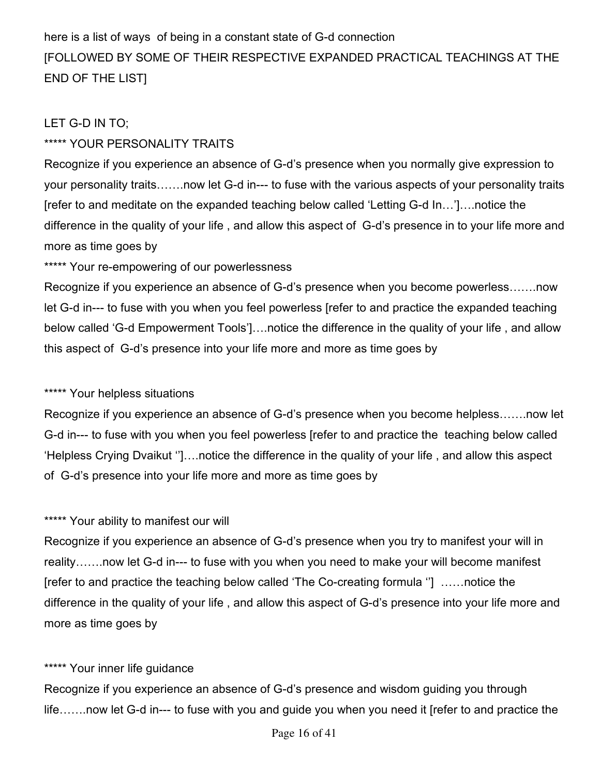here is a list of ways of being in a constant state of G-d connection [FOLLOWED BY SOME OF THEIR RESPECTIVE EXPANDED PRACTICAL TEACHINGS AT THE END OF THE LIST]

#### LET G-D IN TO;

#### \*\*\*\*\* YOUR PERSONALITY TRAITS

Recognize if you experience an absence of G-d's presence when you normally give expression to your personality traits…….now let G-d in--- to fuse with the various aspects of your personality traits [refer to and meditate on the expanded teaching below called 'Letting G-d In…']….notice the difference in the quality of your life , and allow this aspect of G-d's presence in to your life more and more as time goes by

\*\*\*\*\* Your re-empowering of our powerlessness

Recognize if you experience an absence of G-d's presence when you become powerless…….now let G-d in--- to fuse with you when you feel powerless [refer to and practice the expanded teaching below called 'G-d Empowerment Tools']….notice the difference in the quality of your life , and allow this aspect of G-d's presence into your life more and more as time goes by

#### \*\*\*\*\* Your helpless situations

Recognize if you experience an absence of G-d's presence when you become helpless…….now let G-d in--- to fuse with you when you feel powerless [refer to and practice the teaching below called 'Helpless Crying Dvaikut '']….notice the difference in the quality of your life , and allow this aspect of G-d's presence into your life more and more as time goes by

#### \*\*\*\*\* Your ability to manifest our will

Recognize if you experience an absence of G-d's presence when you try to manifest your will in reality…….now let G-d in--- to fuse with you when you need to make your will become manifest [refer to and practice the teaching below called 'The Co-creating formula ''] ……notice the difference in the quality of your life , and allow this aspect of G-d's presence into your life more and more as time goes by

#### \*\*\*\*\* Your inner life quidance

Recognize if you experience an absence of G-d's presence and wisdom guiding you through life…….now let G-d in--- to fuse with you and guide you when you need it [refer to and practice the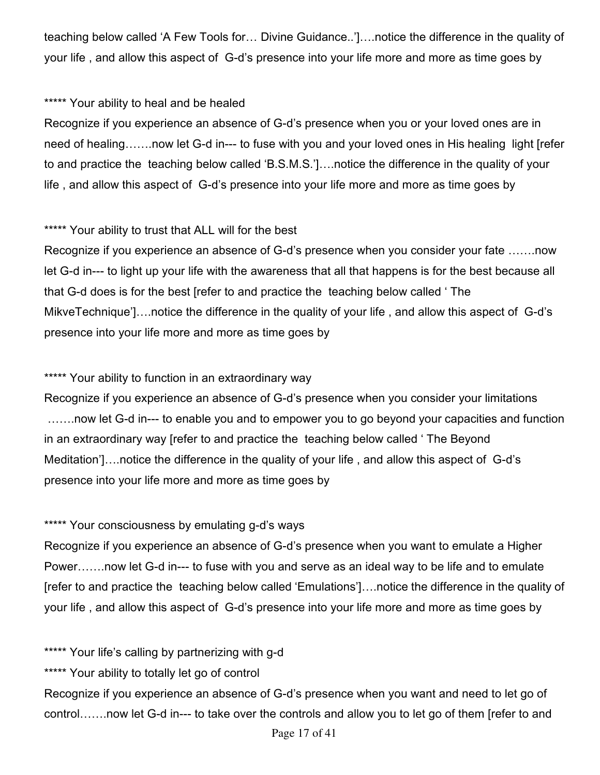teaching below called 'A Few Tools for… Divine Guidance..']….notice the difference in the quality of your life , and allow this aspect of G-d's presence into your life more and more as time goes by

#### \*\*\*\*\* Your ability to heal and be healed

Recognize if you experience an absence of G-d's presence when you or your loved ones are in need of healing…….now let G-d in--- to fuse with you and your loved ones in His healing light [refer to and practice the teaching below called 'B.S.M.S.']….notice the difference in the quality of your life , and allow this aspect of G-d's presence into your life more and more as time goes by

#### \*\*\*\*\* Your ability to trust that ALL will for the best

Recognize if you experience an absence of G-d's presence when you consider your fate …….now let G-d in--- to light up your life with the awareness that all that happens is for the best because all that G-d does is for the best [refer to and practice the teaching below called ' The MikveTechnique']….notice the difference in the quality of your life , and allow this aspect of G-d's presence into your life more and more as time goes by

#### \*\*\*\*\* Your ability to function in an extraordinary way

Recognize if you experience an absence of G-d's presence when you consider your limitations …….now let G-d in--- to enable you and to empower you to go beyond your capacities and function in an extraordinary way [refer to and practice the teaching below called ' The Beyond Meditation']….notice the difference in the quality of your life , and allow this aspect of G-d's presence into your life more and more as time goes by

#### \*\*\*\*\* Your consciousness by emulating g-d's ways

Recognize if you experience an absence of G-d's presence when you want to emulate a Higher Power…….now let G-d in--- to fuse with you and serve as an ideal way to be life and to emulate [refer to and practice the teaching below called 'Emulations']….notice the difference in the quality of your life , and allow this aspect of G-d's presence into your life more and more as time goes by

\*\*\*\*\* Your life's calling by partnerizing with g-d

\*\*\*\*\* Your ability to totally let go of control

Recognize if you experience an absence of G-d's presence when you want and need to let go of control…….now let G-d in--- to take over the controls and allow you to let go of them [refer to and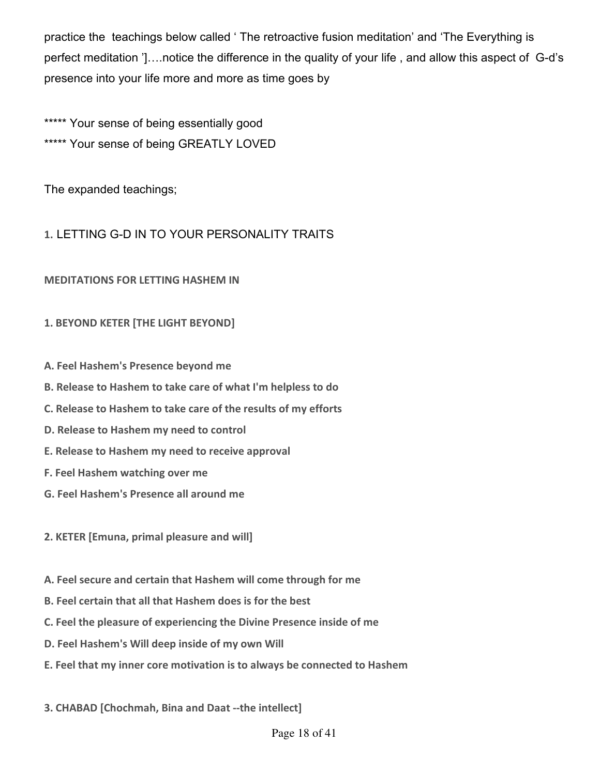practice the teachings below called ' The retroactive fusion meditation' and 'The Everything is perfect meditation ']….notice the difference in the quality of your life , and allow this aspect of G-d's presence into your life more and more as time goes by

\*\*\*\*\* Your sense of being essentially good \*\*\*\*\* Your sense of being GREATLY LOVED

The expanded teachings;

#### **1.**LETTING G-D IN TO YOUR PERSONALITY TRAITS

#### **MEDITATIONS FOR LETTING HASHEM IN**

#### **1. BEYOND KETER [THE LIGHT BEYOND]**

- **A. Feel Hashem's Presence beyond me**
- **B. Release to Hashem to take care of what I'm helpless to do**
- **C. Release to Hashem to take care of the results of my efforts**
- **D. Release to Hashem my need to control**
- **E. Release to Hashem my need to receive approval**
- **F. Feel Hashem watching over me**
- **G. Feel Hashem's Presence all around me**
- **2. KETER [Emuna, primal pleasure and will]**
- **A. Feel secure and certain that Hashem will come through for me**
- **B. Feel certain that all that Hashem does is for the best**
- **C. Feel the pleasure of experiencing the Divine Presence inside of me**
- **D. Feel Hashem's Will deep inside of my own Will**
- **E. Feel that my inner core motivation is to always be connected to Hashem**
- **3. CHABAD [Chochmah, Bina and Daat --the intellect]**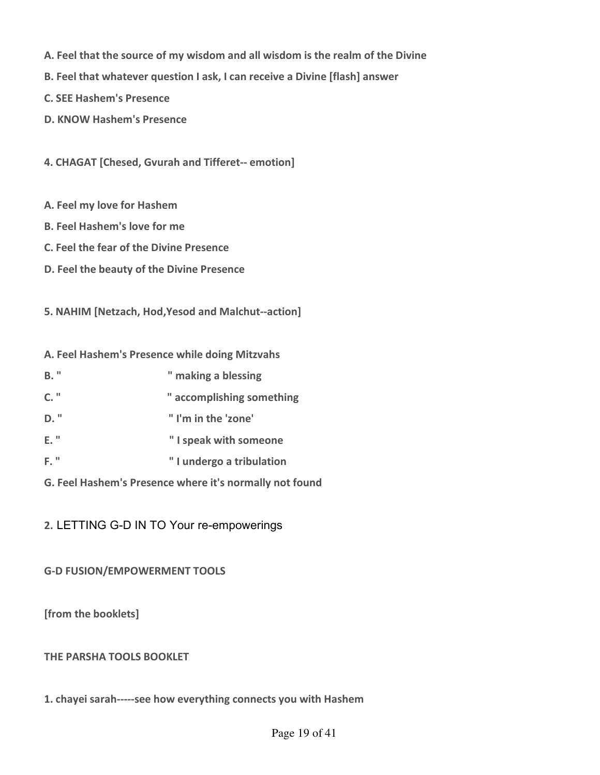- **A. Feel that the source of my wisdom and all wisdom is the realm of the Divine**
- **B. Feel that whatever question I ask, I can receive a Divine [flash] answer**
- **C. SEE Hashem's Presence**
- **D. KNOW Hashem's Presence**

**4. CHAGAT [Chesed, Gvurah and Tifferet-- emotion]** 

- **A. Feel my love for Hashem**
- **B. Feel Hashem's love for me**
- **C. Feel the fear of the Divine Presence**
- **D. Feel the beauty of the Divine Presence**

**5. NAHIM [Netzach, Hod,Yesod and Malchut--action]** 

**A. Feel Hashem's Presence while doing Mitzvahs** 

- **B.** " making a blessing **C. " " accomplishing something D. " " I'm in the 'zone' E. " " I speak with someone F. " " I undergo a tribulation**
- **G. Feel Hashem's Presence where it's normally not found**

**2.**LETTING G-D IN TO Your re-empowerings

**G-D FUSION/EMPOWERMENT TOOLS** 

**[from the booklets]** 

#### **THE PARSHA TOOLS BOOKLET**

**1. chayei sarah-----see how everything connects you with Hashem**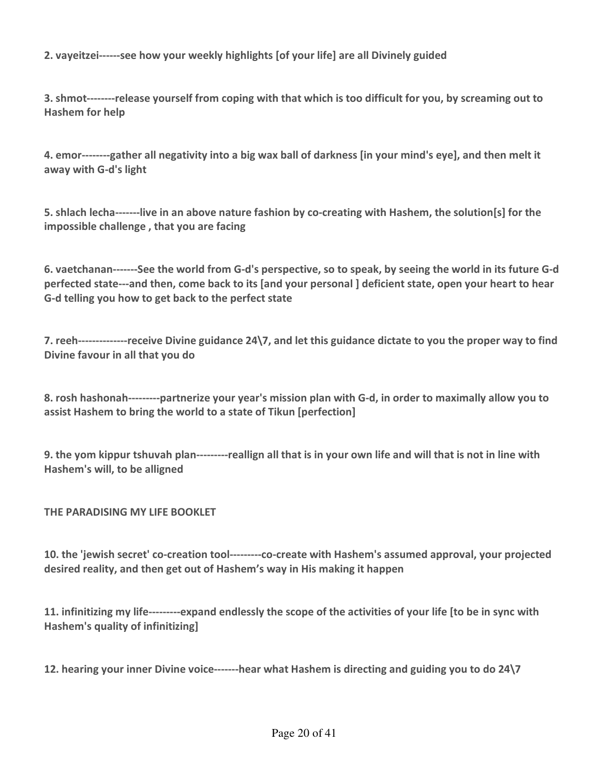**2. vayeitzei------see how your weekly highlights [of your life] are all Divinely guided** 

**3. shmot--------release yourself from coping with that which is too difficult for you, by screaming out to Hashem for help** 

**4. emor--------gather all negativity into a big wax ball of darkness [in your mind's eye], and then melt it away with G-d's light** 

**5. shlach lecha-------live in an above nature fashion by co-creating with Hashem, the solution[s] for the impossible challenge , that you are facing** 

**6. vaetchanan-------See the world from G-d's perspective, so to speak, by seeing the world in its future G-d perfected state---and then, come back to its [and your personal ] deficient state, open your heart to hear G-d telling you how to get back to the perfect state**

**7. reeh--------------receive Divine guidance 24\7, and let this guidance dictate to you the proper way to find Divine favour in all that you do** 

**8. rosh hashonah---------partnerize your year's mission plan with G-d, in order to maximally allow you to assist Hashem to bring the world to a state of Tikun [perfection]** 

**9. the yom kippur tshuvah plan---------reallign all that is in your own life and will that is not in line with Hashem's will, to be alligned** 

#### **THE PARADISING MY LIFE BOOKLET**

**10. the 'jewish secret' co-creation tool---------co-create with Hashem's assumed approval, your projected desired reality, and then get out of Hashem's way in His making it happen** 

**11. infinitizing my life---------expand endlessly the scope of the activities of your life [to be in sync with Hashem's quality of infinitizing]** 

**12. hearing your inner Divine voice-------hear what Hashem is directing and guiding you to do 24\7**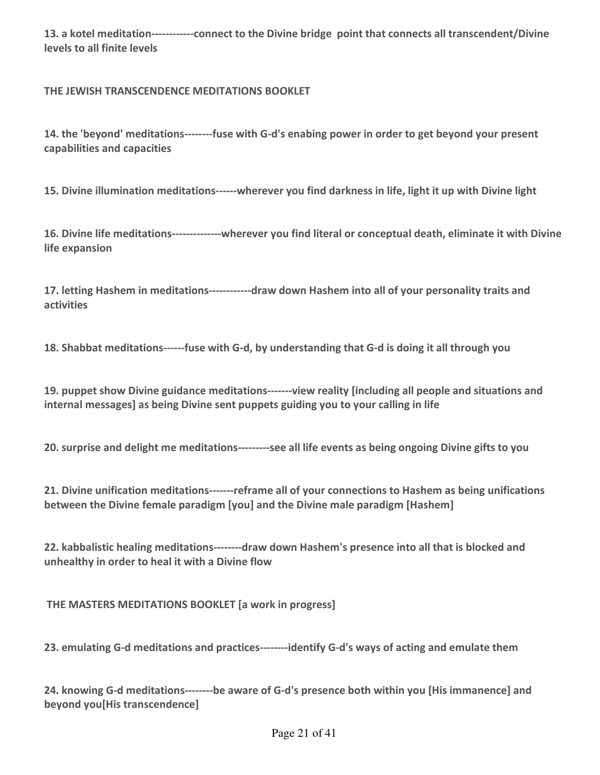**13. a kotel meditation------------connect to the Divine bridge point that connects all transcendent/Divine levels to all finite levels** 

**THE JEWISH TRANSCENDENCE MEDITATIONS BOOKLET** 

**14. the 'beyond' meditations--------fuse with G-d's enabing power in order to get beyond your present capabilities and capacities** 

**15. Divine illumination meditations------wherever you find darkness in life, light it up with Divine light** 

**16. Divine life meditations--------------wherever you find literal or conceptual death, eliminate it with Divine life expansion** 

**17. letting Hashem in meditations------------draw down Hashem into all of your personality traits and activities** 

**18. Shabbat meditations------fuse with G-d, by understanding that G-d is doing it all through you** 

**19. puppet show Divine guidance meditations-------view reality [including all people and situations and internal messages] as being Divine sent puppets guiding you to your calling in life** 

**20. surprise and delight me meditations---------see all life events as being ongoing Divine gifts to you** 

**21. Divine unification meditations-------reframe all of your connections to Hashem as being unifications between the Divine female paradigm [you] and the Divine male paradigm [Hashem]** 

**22. kabbalistic healing meditations--------draw down Hashem's presence into all that is blocked and unhealthy in order to heal it with a Divine flow** 

 **THE MASTERS MEDITATIONS BOOKLET [a work in progress]** 

**23. emulating G-d meditations and practices--------identify G-d's ways of acting and emulate them** 

**24. knowing G-d meditations--------be aware of G-d's presence both within you [His immanence] and beyond you[His transcendence]**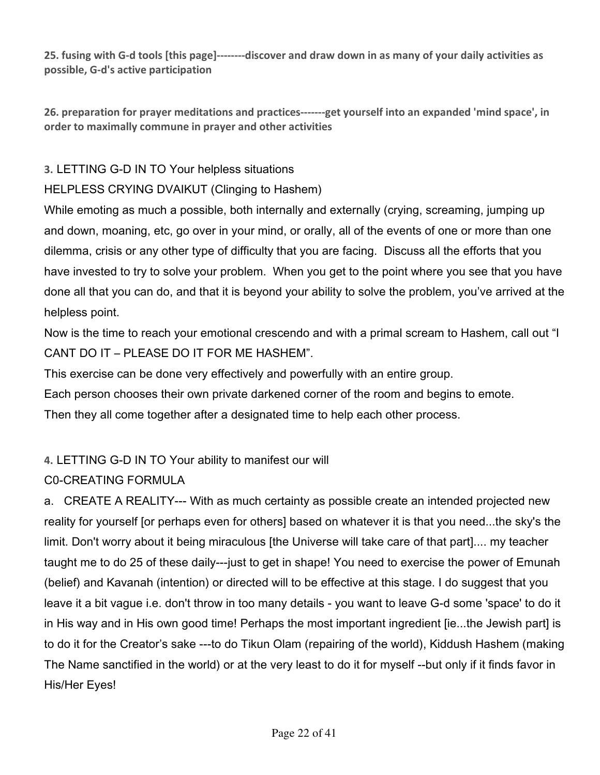**25. fusing with G-d tools [this page]--------discover and draw down in as many of your daily activities as possible, G-d's active participation** 

**26. preparation for prayer meditations and practices-------get yourself into an expanded 'mind space', in order to maximally commune in prayer and other activities** 

#### **3.**LETTING G-D IN TO Your helpless situations

#### HELPLESS CRYING DVAIKUT (Clinging to Hashem)

While emoting as much a possible, both internally and externally (crying, screaming, jumping up and down, moaning, etc, go over in your mind, or orally, all of the events of one or more than one dilemma, crisis or any other type of difficulty that you are facing. Discuss all the efforts that you have invested to try to solve your problem. When you get to the point where you see that you have done all that you can do, and that it is beyond your ability to solve the problem, you've arrived at the helpless point.

Now is the time to reach your emotional crescendo and with a primal scream to Hashem, call out "I CANT DO IT – PLEASE DO IT FOR ME HASHEM".

This exercise can be done very effectively and powerfully with an entire group.

Each person chooses their own private darkened corner of the room and begins to emote.

Then they all come together after a designated time to help each other process.

#### **4.**LETTING G-D IN TO Your ability to manifest our will

#### C0-CREATING FORMULA

a. CREATE A REALITY--- With as much certainty as possible create an intended projected new reality for yourself [or perhaps even for others] based on whatever it is that you need...the sky's the limit. Don't worry about it being miraculous [the Universe will take care of that part].... my teacher taught me to do 25 of these daily---just to get in shape! You need to exercise the power of Emunah (belief) and Kavanah (intention) or directed will to be effective at this stage. I do suggest that you leave it a bit vague i.e. don't throw in too many details - you want to leave G-d some 'space' to do it in His way and in His own good time! Perhaps the most important ingredient [ie...the Jewish part] is to do it for the Creator's sake ---to do Tikun Olam (repairing of the world), Kiddush Hashem (making The Name sanctified in the world) or at the very least to do it for myself --but only if it finds favor in His/Her Eyes!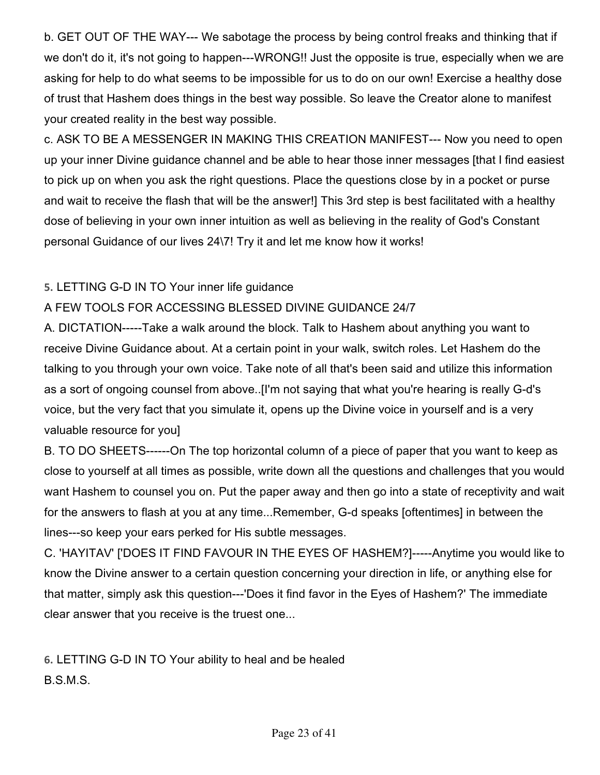b. GET OUT OF THE WAY--- We sabotage the process by being control freaks and thinking that if we don't do it, it's not going to happen---WRONG!! Just the opposite is true, especially when we are asking for help to do what seems to be impossible for us to do on our own! Exercise a healthy dose of trust that Hashem does things in the best way possible. So leave the Creator alone to manifest your created reality in the best way possible.

c. ASK TO BE A MESSENGER IN MAKING THIS CREATION MANIFEST--- Now you need to open up your inner Divine guidance channel and be able to hear those inner messages [that I find easiest to pick up on when you ask the right questions. Place the questions close by in a pocket or purse and wait to receive the flash that will be the answer!] This 3rd step is best facilitated with a healthy dose of believing in your own inner intuition as well as believing in the reality of God's Constant personal Guidance of our lives 24\7! Try it and let me know how it works!

#### **5.**LETTING G-D IN TO Your inner life guidance

#### A FEW TOOLS FOR ACCESSING BLESSED DIVINE GUIDANCE 24/7

A. DICTATION-----Take a walk around the block. Talk to Hashem about anything you want to receive Divine Guidance about. At a certain point in your walk, switch roles. Let Hashem do the talking to you through your own voice. Take note of all that's been said and utilize this information as a sort of ongoing counsel from above..[I'm not saying that what you're hearing is really G-d's voice, but the very fact that you simulate it, opens up the Divine voice in yourself and is a very valuable resource for you]

B. TO DO SHEETS------On The top horizontal column of a piece of paper that you want to keep as close to yourself at all times as possible, write down all the questions and challenges that you would want Hashem to counsel you on. Put the paper away and then go into a state of receptivity and wait for the answers to flash at you at any time...Remember, G-d speaks [oftentimes] in between the lines---so keep your ears perked for His subtle messages.

C. 'HAYITAV' ['DOES IT FIND FAVOUR IN THE EYES OF HASHEM?]-----Anytime you would like to know the Divine answer to a certain question concerning your direction in life, or anything else for that matter, simply ask this question---'Does it find favor in the Eyes of Hashem?' The immediate clear answer that you receive is the truest one...

**6.**LETTING G-D IN TO Your ability to heal and be healed B.S.M.S.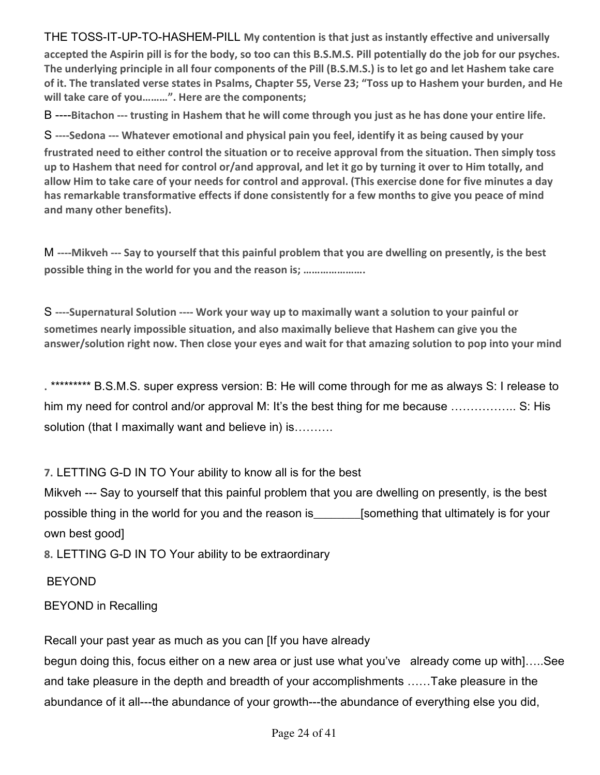THE TOSS-IT-UP-TO-HASHEM-PILL **My contention is that just as instantly effective and universally accepted the Aspirin pill is for the body, so too can this B.S.M.S. Pill potentially do the job for our psyches. The underlying principle in all four components of the Pill (B.S.M.S.) is to let go and let Hashem take care of it. The translated verse states in Psalms, Chapter 55, Verse 23; "Toss up to Hashem your burden, and He will take care of you………". Here are the components;** 

B ----**Bitachon --- trusting in Hashem that he will come through you just as he has done your entire life.** 

S **----Sedona --- Whatever emotional and physical pain you feel, identify it as being caused by your frustrated need to either control the situation or to receive approval from the situation. Then simply toss up to Hashem that need for control or/and approval, and let it go by turning it over to Him totally, and allow Him to take care of your needs for control and approval. (This exercise done for five minutes a day has remarkable transformative effects if done consistently for a few months to give you peace of mind and many other benefits).** 

M **----Mikveh --- Say to yourself that this painful problem that you are dwelling on presently, is the best possible thing in the world for you and the reason is; ………………….** 

S **----Supernatural Solution ---- Work your way up to maximally want a solution to your painful or sometimes nearly impossible situation, and also maximally believe that Hashem can give you the answer/solution right now. Then close your eyes and wait for that amazing solution to pop into your mind** 

**.**\*\*\*\*\*\*\*\*\* B.S.M.S. super express version: B: He will come through for me as always S: I release to him my need for control and/or approval M: It's the best thing for me because ...................... S: His solution (that I maximally want and believe in) is……….

**7.**LETTING G-D IN TO Your ability to know all is for the best

Mikveh --- Say to yourself that this painful problem that you are dwelling on presently, is the best possible thing in the world for you and the reason is [something that ultimately is for your own best good]

**8.**LETTING G-D IN TO Your ability to be extraordinary

#### BEYOND

BEYOND in Recalling

Recall your past year as much as you can [If you have already

begun doing this, focus either on a new area or just use what you've already come up with]…..See and take pleasure in the depth and breadth of your accomplishments ……Take pleasure in the abundance of it all---the abundance of your growth---the abundance of everything else you did,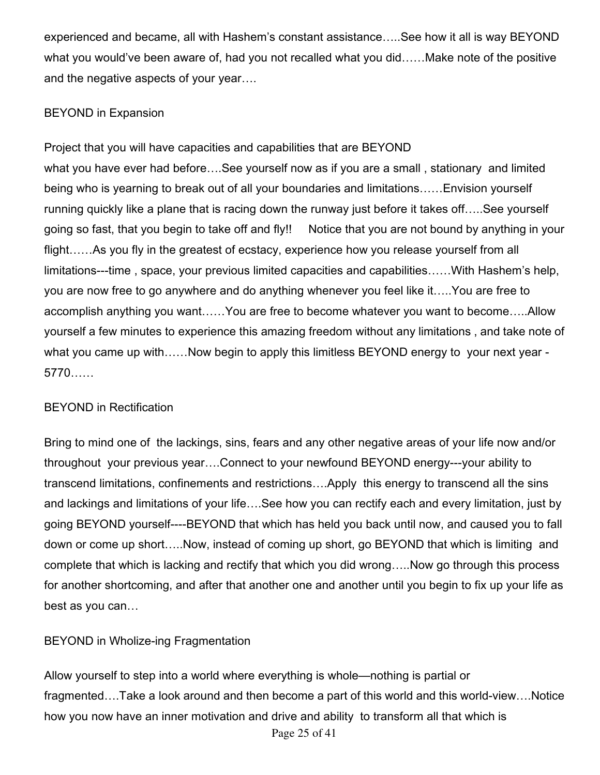experienced and became, all with Hashem's constant assistance…..See how it all is way BEYOND what you would've been aware of, had you not recalled what you did……Make note of the positive and the negative aspects of your year….

#### BEYOND in Expansion

Project that you will have capacities and capabilities that are BEYOND what you have ever had before….See yourself now as if you are a small , stationary and limited being who is yearning to break out of all your boundaries and limitations……Envision yourself running quickly like a plane that is racing down the runway just before it takes off…..See yourself going so fast, that you begin to take off and fly!! Notice that you are not bound by anything in your flight……As you fly in the greatest of ecstacy, experience how you release yourself from all limitations---time , space, your previous limited capacities and capabilities……With Hashem's help, you are now free to go anywhere and do anything whenever you feel like it…..You are free to accomplish anything you want……You are free to become whatever you want to become…..Allow yourself a few minutes to experience this amazing freedom without any limitations , and take note of what you came up with……Now begin to apply this limitless BEYOND energy to your next year - 5770……

#### BEYOND in Rectification

Bring to mind one of the lackings, sins, fears and any other negative areas of your life now and/or throughout your previous year….Connect to your newfound BEYOND energy---your ability to transcend limitations, confinements and restrictions….Apply this energy to transcend all the sins and lackings and limitations of your life….See how you can rectify each and every limitation, just by going BEYOND yourself----BEYOND that which has held you back until now, and caused you to fall down or come up short…..Now, instead of coming up short, go BEYOND that which is limiting and complete that which is lacking and rectify that which you did wrong…..Now go through this process for another shortcoming, and after that another one and another until you begin to fix up your life as best as you can…

#### BEYOND in Wholize-ing Fragmentation

Page 25 of 41 Allow yourself to step into a world where everything is whole—nothing is partial or fragmented….Take a look around and then become a part of this world and this world-view….Notice how you now have an inner motivation and drive and ability to transform all that which is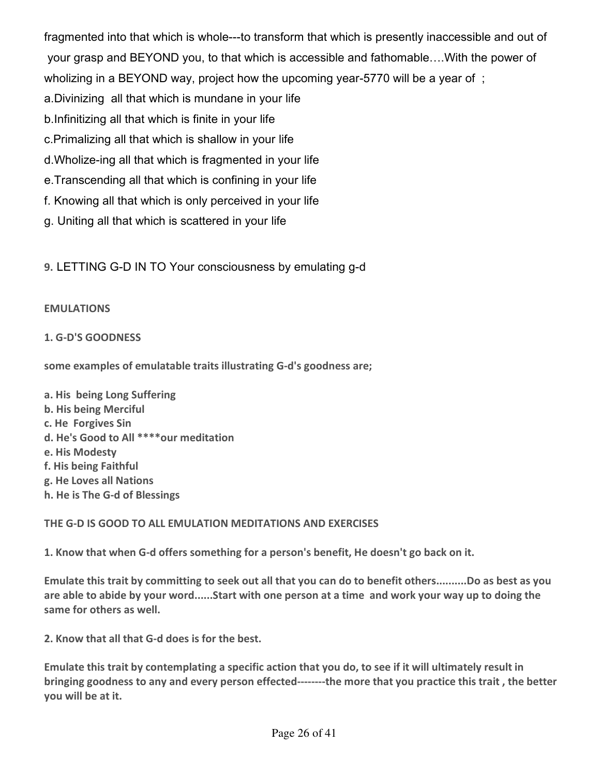fragmented into that which is whole---to transform that which is presently inaccessible and out of your grasp and BEYOND you, to that which is accessible and fathomable….With the power of

wholizing in a BEYOND way, project how the upcoming year-5770 will be a year of ;

- a.Divinizing all that which is mundane in your life
- b.Infinitizing all that which is finite in your life
- c.Primalizing all that which is shallow in your life
- d.Wholize-ing all that which is fragmented in your life
- e.Transcending all that which is confining in your life
- f. Knowing all that which is only perceived in your life
- g. Uniting all that which is scattered in your life

**9.**LETTING G-D IN TO Your consciousness by emulating g-d

#### **EMULATIONS**

#### **1. G-D'S GOODNESS**

**some examples of emulatable traits illustrating G-d's goodness are;** 

- **a. His being Long Suffering b. His being Merciful c. He Forgives Sin d. He's Good to All \*\*\*\*our meditation e. His Modesty f. His being Faithful g. He Loves all Nations**
- **h. He is The G-d of Blessings**

#### **THE G-D IS GOOD TO ALL EMULATION MEDITATIONS AND EXERCISES**

**1. Know that when G-d offers something for a person's benefit, He doesn't go back on it.** 

**Emulate this trait by committing to seek out all that you can do to benefit others..........Do as best as you are able to abide by your word......Start with one person at a time and work your way up to doing the same for others as well.** 

**2. Know that all that G-d does is for the best.** 

**Emulate this trait by contemplating a specific action that you do, to see if it will ultimately result in bringing goodness to any and every person effected--------the more that you practice this trait , the better you will be at it.**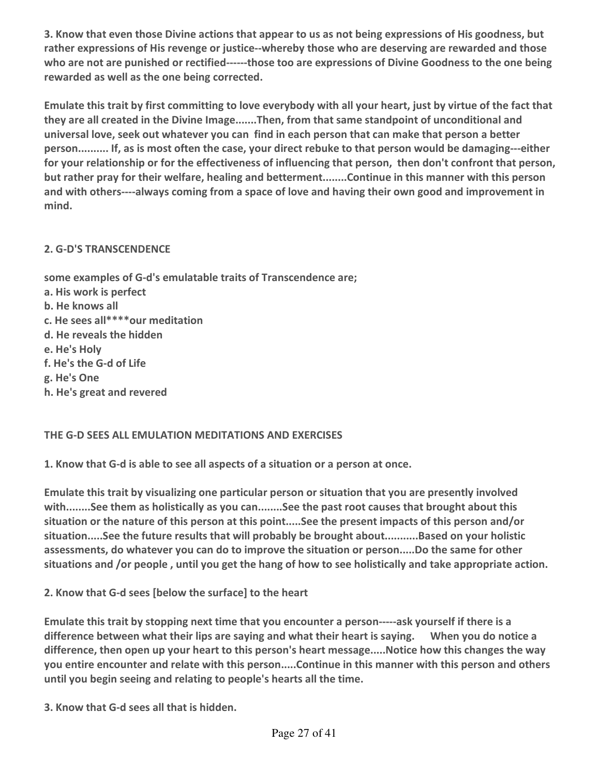**3. Know that even those Divine actions that appear to us as not being expressions of His goodness, but rather expressions of His revenge or justice--whereby those who are deserving are rewarded and those who are not are punished or rectified------those too are expressions of Divine Goodness to the one being rewarded as well as the one being corrected.** 

**Emulate this trait by first committing to love everybody with all your heart, just by virtue of the fact that they are all created in the Divine Image.......Then, from that same standpoint of unconditional and universal love, seek out whatever you can find in each person that can make that person a better person.......... If, as is most often the case, your direct rebuke to that person would be damaging---either for your relationship or for the effectiveness of influencing that person, then don't confront that person, but rather pray for their welfare, healing and betterment........Continue in this manner with this person and with others----always coming from a space of love and having their own good and improvement in mind.** 

#### **2. G-D'S TRANSCENDENCE**

**some examples of G-d's emulatable traits of Transcendence are; a. His work is perfect b. He knows all c. He sees all\*\*\*\*our meditation d. He reveals the hidden e. He's Holy f. He's the G-d of Life g. He's One h. He's great and revered** 

#### **THE G-D SEES ALL EMULATION MEDITATIONS AND EXERCISES**

**1. Know that G-d is able to see all aspects of a situation or a person at once.** 

**Emulate this trait by visualizing one particular person or situation that you are presently involved with........See them as holistically as you can........See the past root causes that brought about this situation or the nature of this person at this point.....See the present impacts of this person and/or situation.....See the future results that will probably be brought about...........Based on your holistic assessments, do whatever you can do to improve the situation or person.....Do the same for other situations and /or people , until you get the hang of how to see holistically and take appropriate action.** 

**2. Know that G-d sees [below the surface] to the heart** 

**Emulate this trait by stopping next time that you encounter a person-----ask yourself if there is a difference between what their lips are saying and what their heart is saying. When you do notice a difference, then open up your heart to this person's heart message.....Notice how this changes the way you entire encounter and relate with this person.....Continue in this manner with this person and others until you begin seeing and relating to people's hearts all the time.** 

**3. Know that G-d sees all that is hidden.**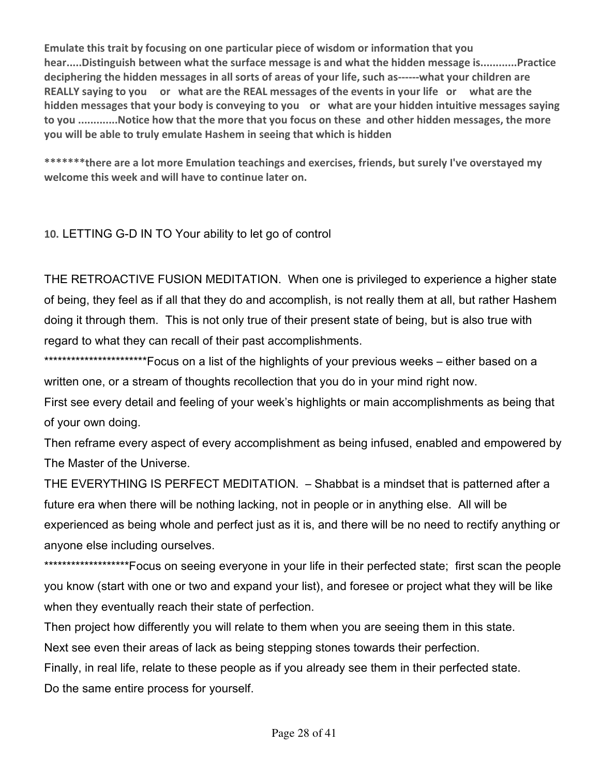**Emulate this trait by focusing on one particular piece of wisdom or information that you hear.....Distinguish between what the surface message is and what the hidden message is............Practice deciphering the hidden messages in all sorts of areas of your life, such as------what your children are REALLY saying to you or what are the REAL messages of the events in your life or what are the hidden messages that your body is conveying to you or what are your hidden intuitive messages saying to you .............Notice how that the more that you focus on these and other hidden messages, the more you will be able to truly emulate Hashem in seeing that which is hidden** 

**\*\*\*\*\*\*\*there are a lot more Emulation teachings and exercises, friends, but surely I've overstayed my welcome this week and will have to continue later on.** 

**10.**LETTING G-D IN TO Your ability to let go of control

THE RETROACTIVE FUSION MEDITATION. When one is privileged to experience a higher state of being, they feel as if all that they do and accomplish, is not really them at all, but rather Hashem doing it through them. This is not only true of their present state of being, but is also true with regard to what they can recall of their past accomplishments.

\*\*\*\*\*\*\*\*\*\*\*\*\*\*\*\*\*\*\*\*\*\*\*Focus on a list of the highlights of your previous weeks – either based on a written one, or a stream of thoughts recollection that you do in your mind right now.

First see every detail and feeling of your week's highlights or main accomplishments as being that of your own doing.

Then reframe every aspect of every accomplishment as being infused, enabled and empowered by The Master of the Universe.

THE EVERYTHING IS PERFECT MEDITATION. – Shabbat is a mindset that is patterned after a future era when there will be nothing lacking, not in people or in anything else. All will be experienced as being whole and perfect just as it is, and there will be no need to rectify anything or anyone else including ourselves.

\*\*\*\*\*\*\*\*\*\*\*\*\*\*\*\*\*\*\*\*\*\*\*Focus on seeing everyone in your life in their perfected state; first scan the people you know (start with one or two and expand your list), and foresee or project what they will be like when they eventually reach their state of perfection.

Then project how differently you will relate to them when you are seeing them in this state.

Next see even their areas of lack as being stepping stones towards their perfection.

Finally, in real life, relate to these people as if you already see them in their perfected state. Do the same entire process for yourself.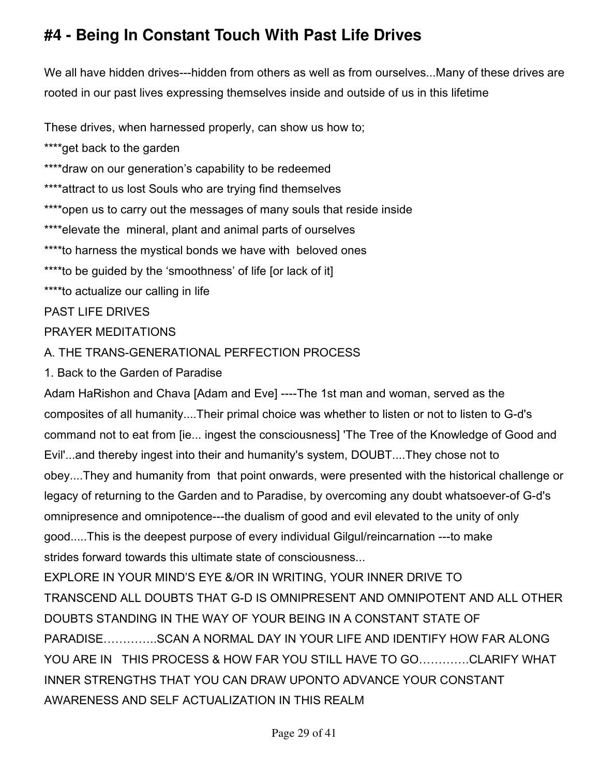# **#4 - Being In Constant Touch With Past Life Drives**

We all have hidden drives---hidden from others as well as from ourselves...Many of these drives are rooted in our past lives expressing themselves inside and outside of us in this lifetime

These drives, when harnessed properly, can show us how to;

\*\*\*\*get back to the garden

\*\*\*\*draw on our generation's capability to be redeemed

\*\*\*\*attract to us lost Souls who are trying find themselves

\*\*\*\*open us to carry out the messages of many souls that reside inside

\*\*\*\*elevate the mineral, plant and animal parts of ourselves

\*\*\*\*to harness the mystical bonds we have with beloved ones

\*\*\*\*to be guided by the 'smoothness' of life [or lack of it]

\*\*\*\*to actualize our calling in life

PAST LIFE DRIVES

#### PRAYER MEDITATIONS

A. THE TRANS-GENERATIONAL PERFECTION PROCESS

1. Back to the Garden of Paradise

Adam HaRishon and Chava [Adam and Eve] ----The 1st man and woman, served as the composites of all humanity....Their primal choice was whether to listen or not to listen to G-d's command not to eat from [ie... ingest the consciousness] 'The Tree of the Knowledge of Good and Evil'...and thereby ingest into their and humanity's system, DOUBT....They chose not to obey....They and humanity from that point onwards, were presented with the historical challenge or legacy of returning to the Garden and to Paradise, by overcoming any doubt whatsoever-of G-d's omnipresence and omnipotence---the dualism of good and evil elevated to the unity of only good.....This is the deepest purpose of every individual Gilgul/reincarnation ---to make strides forward towards this ultimate state of consciousness...

EXPLORE IN YOUR MIND'S EYE &/OR IN WRITING, YOUR INNER DRIVE TO TRANSCEND ALL DOUBTS THAT G-D IS OMNIPRESENT AND OMNIPOTENT AND ALL OTHER DOUBTS STANDING IN THE WAY OF YOUR BEING IN A CONSTANT STATE OF PARADISE…………..SCAN A NORMAL DAY IN YOUR LIFE AND IDENTIFY HOW FAR ALONG YOU ARE IN THIS PROCESS & HOW FAR YOU STILL HAVE TO GO………….CLARIFY WHAT INNER STRENGTHS THAT YOU CAN DRAW UPONTO ADVANCE YOUR CONSTANT AWARENESS AND SELF ACTUALIZATION IN THIS REALM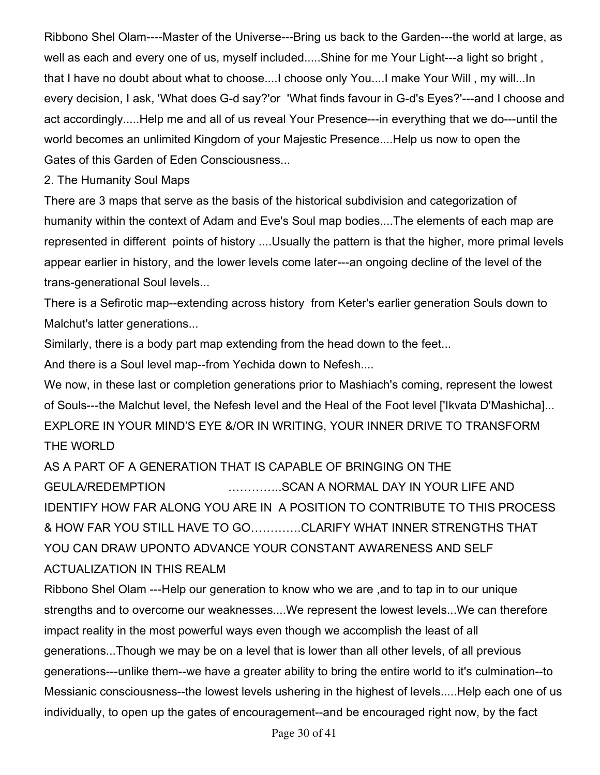Ribbono Shel Olam----Master of the Universe---Bring us back to the Garden---the world at large, as well as each and every one of us, myself included.....Shine for me Your Light---a light so bright, that I have no doubt about what to choose....I choose only You....I make Your Will , my will...In every decision, I ask, 'What does G-d say?'or 'What finds favour in G-d's Eyes?'---and I choose and act accordingly.....Help me and all of us reveal Your Presence---in everything that we do---until the world becomes an unlimited Kingdom of your Majestic Presence....Help us now to open the Gates of this Garden of Eden Consciousness...

2. The Humanity Soul Maps

There are 3 maps that serve as the basis of the historical subdivision and categorization of humanity within the context of Adam and Eve's Soul map bodies....The elements of each map are represented in different points of history ....Usually the pattern is that the higher, more primal levels appear earlier in history, and the lower levels come later---an ongoing decline of the level of the trans-generational Soul levels...

There is a Sefirotic map--extending across history from Keter's earlier generation Souls down to Malchut's latter generations...

Similarly, there is a body part map extending from the head down to the feet...

And there is a Soul level map--from Yechida down to Nefesh....

We now, in these last or completion generations prior to Mashiach's coming, represent the lowest of Souls---the Malchut level, the Nefesh level and the Heal of the Foot level ['Ikvata D'Mashicha]... EXPLORE IN YOUR MIND'S EYE &/OR IN WRITING, YOUR INNER DRIVE TO TRANSFORM THE WORLD

AS A PART OF A GENERATION THAT IS CAPABLE OF BRINGING ON THE GEULA/REDEMPTION …………..SCAN A NORMAL DAY IN YOUR LIFE AND IDENTIFY HOW FAR ALONG YOU ARE IN A POSITION TO CONTRIBUTE TO THIS PROCESS & HOW FAR YOU STILL HAVE TO GO………….CLARIFY WHAT INNER STRENGTHS THAT YOU CAN DRAW UPONTO ADVANCE YOUR CONSTANT AWARENESS AND SELF ACTUALIZATION IN THIS REALM

Ribbono Shel Olam ---Help our generation to know who we are ,and to tap in to our unique strengths and to overcome our weaknesses....We represent the lowest levels...We can therefore impact reality in the most powerful ways even though we accomplish the least of all generations...Though we may be on a level that is lower than all other levels, of all previous generations---unlike them--we have a greater ability to bring the entire world to it's culmination--to Messianic consciousness--the lowest levels ushering in the highest of levels.....Help each one of us individually, to open up the gates of encouragement--and be encouraged right now, by the fact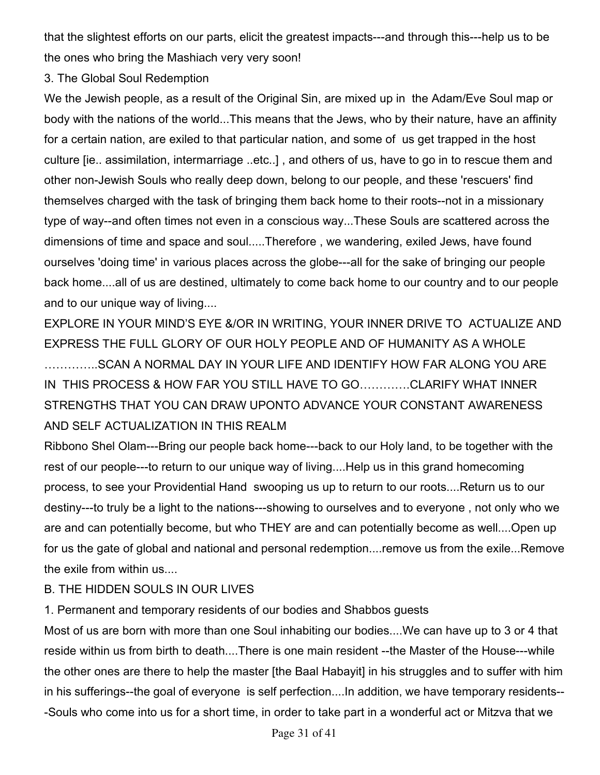that the slightest efforts on our parts, elicit the greatest impacts---and through this---help us to be the ones who bring the Mashiach very very soon!

3. The Global Soul Redemption

We the Jewish people, as a result of the Original Sin, are mixed up in the Adam/Eve Soul map or body with the nations of the world...This means that the Jews, who by their nature, have an affinity for a certain nation, are exiled to that particular nation, and some of us get trapped in the host culture [ie.. assimilation, intermarriage ..etc..] , and others of us, have to go in to rescue them and other non-Jewish Souls who really deep down, belong to our people, and these 'rescuers' find themselves charged with the task of bringing them back home to their roots--not in a missionary type of way--and often times not even in a conscious way...These Souls are scattered across the dimensions of time and space and soul.....Therefore , we wandering, exiled Jews, have found ourselves 'doing time' in various places across the globe---all for the sake of bringing our people back home....all of us are destined, ultimately to come back home to our country and to our people and to our unique way of living....

EXPLORE IN YOUR MIND'S EYE &/OR IN WRITING, YOUR INNER DRIVE TO ACTUALIZE AND EXPRESS THE FULL GLORY OF OUR HOLY PEOPLE AND OF HUMANITY AS A WHOLE …………..SCAN A NORMAL DAY IN YOUR LIFE AND IDENTIFY HOW FAR ALONG YOU ARE IN THIS PROCESS & HOW FAR YOU STILL HAVE TO GO………….CLARIFY WHAT INNER STRENGTHS THAT YOU CAN DRAW UPONTO ADVANCE YOUR CONSTANT AWARENESS AND SELF ACTUALIZATION IN THIS REALM

Ribbono Shel Olam---Bring our people back home---back to our Holy land, to be together with the rest of our people---to return to our unique way of living....Help us in this grand homecoming process, to see your Providential Hand swooping us up to return to our roots....Return us to our destiny---to truly be a light to the nations---showing to ourselves and to everyone , not only who we are and can potentially become, but who THEY are and can potentially become as well....Open up for us the gate of global and national and personal redemption....remove us from the exile...Remove the exile from within us....

#### B. THE HIDDEN SOULS IN OUR LIVES

1. Permanent and temporary residents of our bodies and Shabbos guests

Most of us are born with more than one Soul inhabiting our bodies....We can have up to 3 or 4 that reside within us from birth to death....There is one main resident --the Master of the House---while the other ones are there to help the master [the Baal Habayit] in his struggles and to suffer with him in his sufferings--the goal of everyone is self perfection....In addition, we have temporary residents-- -Souls who come into us for a short time, in order to take part in a wonderful act or Mitzva that we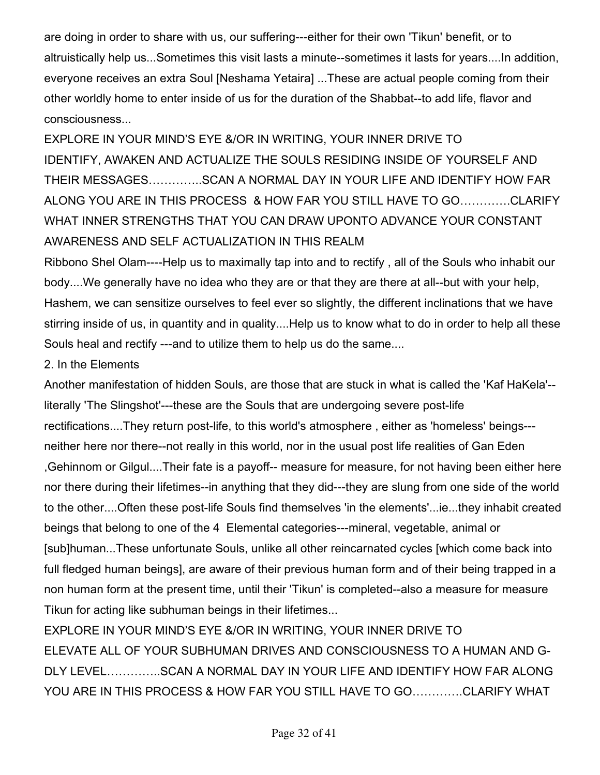are doing in order to share with us, our suffering---either for their own 'Tikun' benefit, or to altruistically help us...Sometimes this visit lasts a minute--sometimes it lasts for years....In addition, everyone receives an extra Soul [Neshama Yetaira] ...These are actual people coming from their other worldly home to enter inside of us for the duration of the Shabbat--to add life, flavor and consciousness...

EXPLORE IN YOUR MIND'S EYE &/OR IN WRITING, YOUR INNER DRIVE TO IDENTIFY, AWAKEN AND ACTUALIZE THE SOULS RESIDING INSIDE OF YOURSELF AND THEIR MESSAGES…………..SCAN A NORMAL DAY IN YOUR LIFE AND IDENTIFY HOW FAR ALONG YOU ARE IN THIS PROCESS & HOW FAR YOU STILL HAVE TO GO………….CLARIFY WHAT INNER STRENGTHS THAT YOU CAN DRAW UPONTO ADVANCE YOUR CONSTANT AWARENESS AND SELF ACTUALIZATION IN THIS REALM

Ribbono Shel Olam----Help us to maximally tap into and to rectify , all of the Souls who inhabit our body....We generally have no idea who they are or that they are there at all--but with your help, Hashem, we can sensitize ourselves to feel ever so slightly, the different inclinations that we have stirring inside of us, in quantity and in quality....Help us to know what to do in order to help all these Souls heal and rectify ---and to utilize them to help us do the same....

#### 2. In the Elements

Another manifestation of hidden Souls, are those that are stuck in what is called the 'Kaf HaKela'- literally 'The Slingshot'---these are the Souls that are undergoing severe post-life rectifications....They return post-life, to this world's atmosphere , either as 'homeless' beings-- neither here nor there--not really in this world, nor in the usual post life realities of Gan Eden ,Gehinnom or Gilgul....Their fate is a payoff-- measure for measure, for not having been either here nor there during their lifetimes--in anything that they did---they are slung from one side of the world to the other....Often these post-life Souls find themselves 'in the elements'...ie...they inhabit created beings that belong to one of the 4 Elemental categories---mineral, vegetable, animal or [sub]human...These unfortunate Souls, unlike all other reincarnated cycles [which come back into full fledged human beings], are aware of their previous human form and of their being trapped in a non human form at the present time, until their 'Tikun' is completed--also a measure for measure Tikun for acting like subhuman beings in their lifetimes...

EXPLORE IN YOUR MIND'S EYE &/OR IN WRITING, YOUR INNER DRIVE TO ELEVATE ALL OF YOUR SUBHUMAN DRIVES AND CONSCIOUSNESS TO A HUMAN AND G-DLY LEVEL…………..SCAN A NORMAL DAY IN YOUR LIFE AND IDENTIFY HOW FAR ALONG YOU ARE IN THIS PROCESS & HOW FAR YOU STILL HAVE TO GO………….CLARIFY WHAT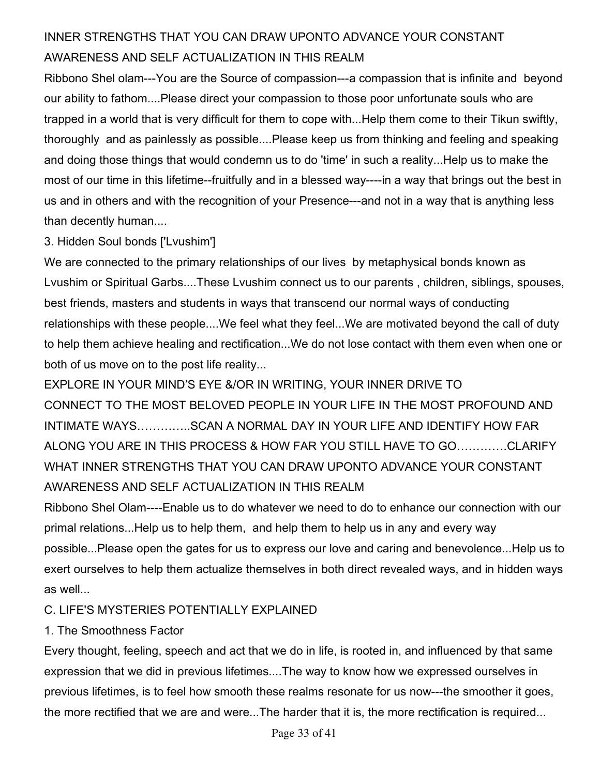### INNER STRENGTHS THAT YOU CAN DRAW UPONTO ADVANCE YOUR CONSTANT AWARENESS AND SELF ACTUALIZATION IN THIS REALM

Ribbono Shel olam---You are the Source of compassion---a compassion that is infinite and beyond our ability to fathom....Please direct your compassion to those poor unfortunate souls who are trapped in a world that is very difficult for them to cope with...Help them come to their Tikun swiftly, thoroughly and as painlessly as possible....Please keep us from thinking and feeling and speaking and doing those things that would condemn us to do 'time' in such a reality...Help us to make the most of our time in this lifetime--fruitfully and in a blessed way----in a way that brings out the best in us and in others and with the recognition of your Presence---and not in a way that is anything less than decently human....

#### 3. Hidden Soul bonds ['Lvushim']

We are connected to the primary relationships of our lives by metaphysical bonds known as Lvushim or Spiritual Garbs....These Lvushim connect us to our parents , children, siblings, spouses, best friends, masters and students in ways that transcend our normal ways of conducting relationships with these people....We feel what they feel...We are motivated beyond the call of duty to help them achieve healing and rectification...We do not lose contact with them even when one or both of us move on to the post life reality...

EXPLORE IN YOUR MIND'S EYE &/OR IN WRITING, YOUR INNER DRIVE TO CONNECT TO THE MOST BELOVED PEOPLE IN YOUR LIFE IN THE MOST PROFOUND AND INTIMATE WAYS…………..SCAN A NORMAL DAY IN YOUR LIFE AND IDENTIFY HOW FAR ALONG YOU ARE IN THIS PROCESS & HOW FAR YOU STILL HAVE TO GO………….CLARIFY WHAT INNER STRENGTHS THAT YOU CAN DRAW UPONTO ADVANCE YOUR CONSTANT AWARENESS AND SELF ACTUALIZATION IN THIS REALM

Ribbono Shel Olam----Enable us to do whatever we need to do to enhance our connection with our primal relations...Help us to help them, and help them to help us in any and every way possible...Please open the gates for us to express our love and caring and benevolence...Help us to exert ourselves to help them actualize themselves in both direct revealed ways, and in hidden ways as well...

#### C. LIFE'S MYSTERIES POTENTIALLY EXPLAINED

#### 1. The Smoothness Factor

Every thought, feeling, speech and act that we do in life, is rooted in, and influenced by that same expression that we did in previous lifetimes....The way to know how we expressed ourselves in previous lifetimes, is to feel how smooth these realms resonate for us now---the smoother it goes, the more rectified that we are and were...The harder that it is, the more rectification is required...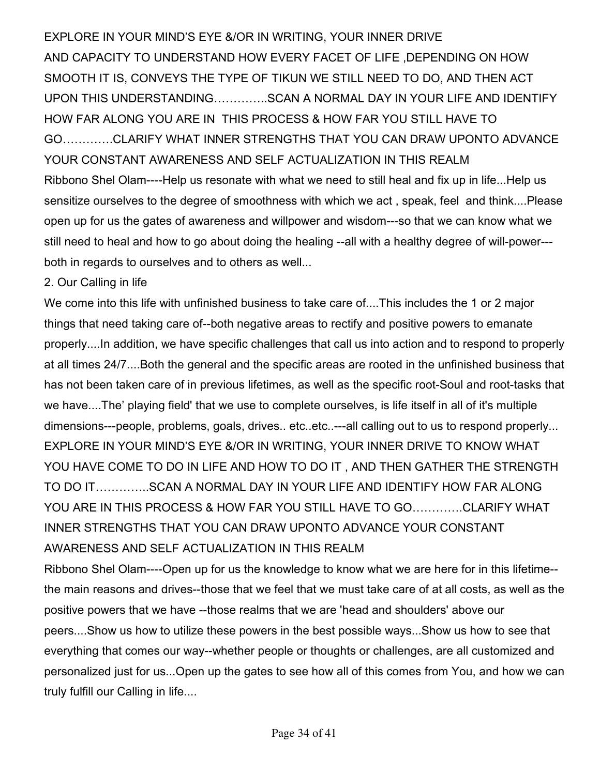EXPLORE IN YOUR MIND'S EYE &/OR IN WRITING, YOUR INNER DRIVE AND CAPACITY TO UNDERSTAND HOW EVERY FACET OF LIFE ,DEPENDING ON HOW SMOOTH IT IS, CONVEYS THE TYPE OF TIKUN WE STILL NEED TO DO, AND THEN ACT UPON THIS UNDERSTANDING…………..SCAN A NORMAL DAY IN YOUR LIFE AND IDENTIFY HOW FAR ALONG YOU ARE IN THIS PROCESS & HOW FAR YOU STILL HAVE TO GO………….CLARIFY WHAT INNER STRENGTHS THAT YOU CAN DRAW UPONTO ADVANCE YOUR CONSTANT AWARENESS AND SELF ACTUALIZATION IN THIS REALM Ribbono Shel Olam----Help us resonate with what we need to still heal and fix up in life...Help us sensitize ourselves to the degree of smoothness with which we act , speak, feel and think....Please open up for us the gates of awareness and willpower and wisdom---so that we can know what we still need to heal and how to go about doing the healing --all with a healthy degree of will-power-- both in regards to ourselves and to others as well...

#### 2. Our Calling in life

We come into this life with unfinished business to take care of....This includes the 1 or 2 major things that need taking care of--both negative areas to rectify and positive powers to emanate properly....In addition, we have specific challenges that call us into action and to respond to properly at all times 24/7....Both the general and the specific areas are rooted in the unfinished business that has not been taken care of in previous lifetimes, as well as the specific root-Soul and root-tasks that we have....The' playing field' that we use to complete ourselves, is life itself in all of it's multiple dimensions---people, problems, goals, drives.. etc..etc..---all calling out to us to respond properly... EXPLORE IN YOUR MIND'S EYE &/OR IN WRITING, YOUR INNER DRIVE TO KNOW WHAT YOU HAVE COME TO DO IN LIFE AND HOW TO DO IT , AND THEN GATHER THE STRENGTH TO DO IT…………..SCAN A NORMAL DAY IN YOUR LIFE AND IDENTIFY HOW FAR ALONG YOU ARE IN THIS PROCESS & HOW FAR YOU STILL HAVE TO GO………….CLARIFY WHAT INNER STRENGTHS THAT YOU CAN DRAW UPONTO ADVANCE YOUR CONSTANT AWARENESS AND SELF ACTUALIZATION IN THIS REALM

Ribbono Shel Olam----Open up for us the knowledge to know what we are here for in this lifetime- the main reasons and drives--those that we feel that we must take care of at all costs, as well as the positive powers that we have --those realms that we are 'head and shoulders' above our peers....Show us how to utilize these powers in the best possible ways...Show us how to see that everything that comes our way--whether people or thoughts or challenges, are all customized and personalized just for us...Open up the gates to see how all of this comes from You, and how we can truly fulfill our Calling in life....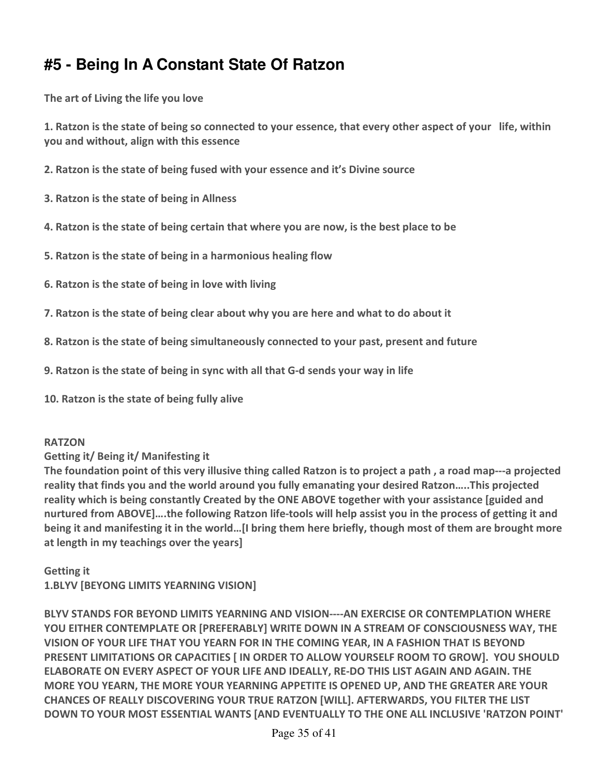# **#5 - Being In A Constant State Of Ratzon**

**The art of Living the life you love** 

**1. Ratzon is the state of being so connected to your essence, that every other aspect of your life, within you and without, align with this essence** 

- **2. Ratzon is the state of being fused with your essence and it's Divine source**
- **3. Ratzon is the state of being in Allness**
- **4. Ratzon is the state of being certain that where you are now, is the best place to be**
- **5. Ratzon is the state of being in a harmonious healing flow**
- **6. Ratzon is the state of being in love with living**
- **7. Ratzon is the state of being clear about why you are here and what to do about it**
- **8. Ratzon is the state of being simultaneously connected to your past, present and future**
- **9. Ratzon is the state of being in sync with all that G-d sends your way in life**
- **10. Ratzon is the state of being fully alive**

#### **RATZON**

#### **Getting it/ Being it/ Manifesting it**

**The foundation point of this very illusive thing called Ratzon is to project a path , a road map---a projected reality that finds you and the world around you fully emanating your desired Ratzon…..This projected reality which is being constantly Created by the ONE ABOVE together with your assistance [guided and nurtured from ABOVE]….the following Ratzon life-tools will help assist you in the process of getting it and being it and manifesting it in the world…[I bring them here briefly, though most of them are brought more at length in my teachings over the years]** 

**Getting it 1.BLYV [BEYONG LIMITS YEARNING VISION]** 

**BLYV STANDS FOR BEYOND LIMITS YEARNING AND VISION----AN EXERCISE OR CONTEMPLATION WHERE YOU EITHER CONTEMPLATE OR [PREFERABLY] WRITE DOWN IN A STREAM OF CONSCIOUSNESS WAY, THE VISION OF YOUR LIFE THAT YOU YEARN FOR IN THE COMING YEAR, IN A FASHION THAT IS BEYOND PRESENT LIMITATIONS OR CAPACITIES [ IN ORDER TO ALLOW YOURSELF ROOM TO GROW]. YOU SHOULD ELABORATE ON EVERY ASPECT OF YOUR LIFE AND IDEALLY, RE-DO THIS LIST AGAIN AND AGAIN. THE MORE YOU YEARN, THE MORE YOUR YEARNING APPETITE IS OPENED UP, AND THE GREATER ARE YOUR CHANCES OF REALLY DISCOVERING YOUR TRUE RATZON [WILL]. AFTERWARDS, YOU FILTER THE LIST DOWN TO YOUR MOST ESSENTIAL WANTS [AND EVENTUALLY TO THE ONE ALL INCLUSIVE 'RATZON POINT'**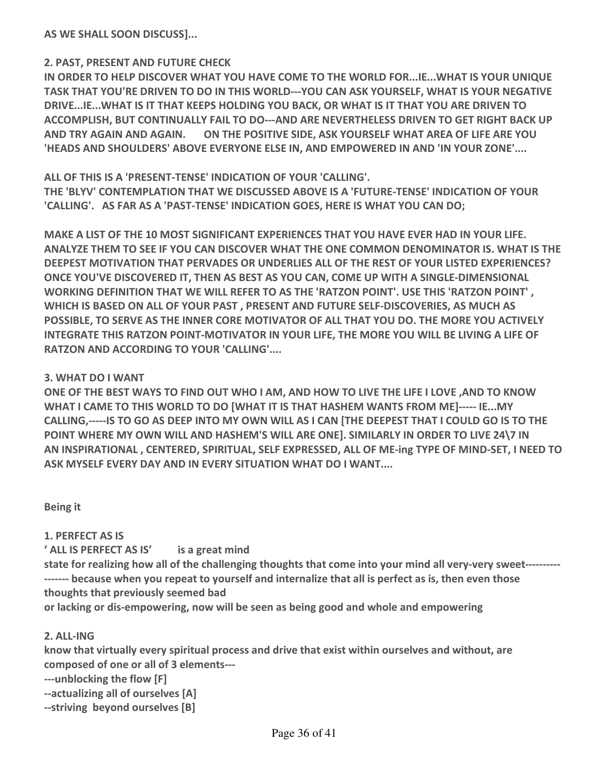**AS WE SHALL SOON DISCUSS]...** 

#### **2. PAST, PRESENT AND FUTURE CHECK**

**IN ORDER TO HELP DISCOVER WHAT YOU HAVE COME TO THE WORLD FOR...IE...WHAT IS YOUR UNIQUE TASK THAT YOU'RE DRIVEN TO DO IN THIS WORLD---YOU CAN ASK YOURSELF, WHAT IS YOUR NEGATIVE DRIVE...IE...WHAT IS IT THAT KEEPS HOLDING YOU BACK, OR WHAT IS IT THAT YOU ARE DRIVEN TO ACCOMPLISH, BUT CONTINUALLY FAIL TO DO---AND ARE NEVERTHELESS DRIVEN TO GET RIGHT BACK UP AND TRY AGAIN AND AGAIN. ON THE POSITIVE SIDE, ASK YOURSELF WHAT AREA OF LIFE ARE YOU 'HEADS AND SHOULDERS' ABOVE EVERYONE ELSE IN, AND EMPOWERED IN AND 'IN YOUR ZONE'....** 

**ALL OF THIS IS A 'PRESENT-TENSE' INDICATION OF YOUR 'CALLING'. THE 'BLYV' CONTEMPLATION THAT WE DISCUSSED ABOVE IS A 'FUTURE-TENSE' INDICATION OF YOUR 'CALLING'. AS FAR AS A 'PAST-TENSE' INDICATION GOES, HERE IS WHAT YOU CAN DO;** 

**MAKE A LIST OF THE 10 MOST SIGNIFICANT EXPERIENCES THAT YOU HAVE EVER HAD IN YOUR LIFE. ANALYZE THEM TO SEE IF YOU CAN DISCOVER WHAT THE ONE COMMON DENOMINATOR IS. WHAT IS THE DEEPEST MOTIVATION THAT PERVADES OR UNDERLIES ALL OF THE REST OF YOUR LISTED EXPERIENCES? ONCE YOU'VE DISCOVERED IT, THEN AS BEST AS YOU CAN, COME UP WITH A SINGLE-DIMENSIONAL WORKING DEFINITION THAT WE WILL REFER TO AS THE 'RATZON POINT'. USE THIS 'RATZON POINT' , WHICH IS BASED ON ALL OF YOUR PAST , PRESENT AND FUTURE SELF-DISCOVERIES, AS MUCH AS POSSIBLE, TO SERVE AS THE INNER CORE MOTIVATOR OF ALL THAT YOU DO. THE MORE YOU ACTIVELY INTEGRATE THIS RATZON POINT-MOTIVATOR IN YOUR LIFE, THE MORE YOU WILL BE LIVING A LIFE OF RATZON AND ACCORDING TO YOUR 'CALLING'....** 

#### **3. WHAT DO I WANT**

**ONE OF THE BEST WAYS TO FIND OUT WHO I AM, AND HOW TO LIVE THE LIFE I LOVE ,AND TO KNOW WHAT I CAME TO THIS WORLD TO DO [WHAT IT IS THAT HASHEM WANTS FROM ME]----- IE...MY CALLING,-----IS TO GO AS DEEP INTO MY OWN WILL AS I CAN [THE DEEPEST THAT I COULD GO IS TO THE POINT WHERE MY OWN WILL AND HASHEM'S WILL ARE ONE]. SIMILARLY IN ORDER TO LIVE 24\7 IN AN INSPIRATIONAL , CENTERED, SPIRITUAL, SELF EXPRESSED, ALL OF ME-ing TYPE OF MIND-SET, I NEED TO ASK MYSELF EVERY DAY AND IN EVERY SITUATION WHAT DO I WANT....** 

**Being it** 

#### **1. PERFECT AS IS**

**' ALL IS PERFECT AS IS' is a great mind** 

**state for realizing how all of the challenging thoughts that come into your mind all very-very sweet---------- ------- because when you repeat to yourself and internalize that all is perfect as is, then even those thoughts that previously seemed bad** 

**or lacking or dis-empowering, now will be seen as being good and whole and empowering** 

#### **2. ALL-ING**

**know that virtually every spiritual process and drive that exist within ourselves and without, are composed of one or all of 3 elements---** 

**---unblocking the flow [F]** 

**--actualizing all of ourselves [A]** 

**--striving beyond ourselves [B]**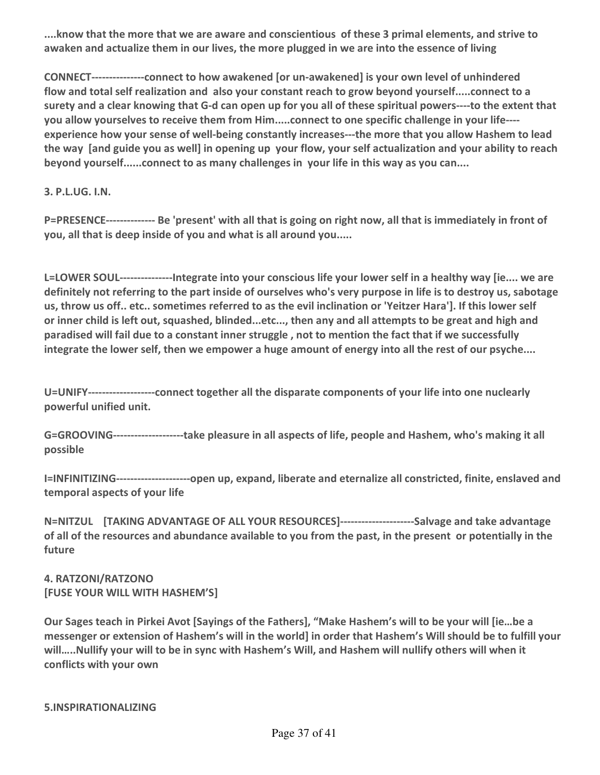**....know that the more that we are aware and conscientious of these 3 primal elements, and strive to awaken and actualize them in our lives, the more plugged in we are into the essence of living** 

**CONNECT---------------connect to how awakened [or un-awakened] is your own level of unhindered flow and total self realization and also your constant reach to grow beyond yourself.....connect to a surety and a clear knowing that G-d can open up for you all of these spiritual powers----to the extent that you allow yourselves to receive them from Him.....connect to one specific challenge in your life--- experience how your sense of well-being constantly increases---the more that you allow Hashem to lead the way [and guide you as well] in opening up your flow, your self actualization and your ability to reach beyond yourself......connect to as many challenges in your life in this way as you can....** 

**3. P.L.UG. I.N.** 

**P=PRESENCE-------------- Be 'present' with all that is going on right now, all that is immediately in front of you, all that is deep inside of you and what is all around you.....** 

**L=LOWER SOUL---------------Integrate into your conscious life your lower self in a healthy way [ie.... we are definitely not referring to the part inside of ourselves who's very purpose in life is to destroy us, sabotage us, throw us off.. etc.. sometimes referred to as the evil inclination or 'Yeitzer Hara']. If this lower self or inner child is left out, squashed, blinded...etc..., then any and all attempts to be great and high and paradised will fail due to a constant inner struggle , not to mention the fact that if we successfully integrate the lower self, then we empower a huge amount of energy into all the rest of our psyche....** 

**U=UNIFY-------------------connect together all the disparate components of your life into one nuclearly powerful unified unit.** 

**G=GROOVING--------------------take pleasure in all aspects of life, people and Hashem, who's making it all possible** 

**I=INFINITIZING---------------------open up, expand, liberate and eternalize all constricted, finite, enslaved and temporal aspects of your life** 

**N=NITZUL [TAKING ADVANTAGE OF ALL YOUR RESOURCES]---------------------Salvage and take advantage of all of the resources and abundance available to you from the past, in the present or potentially in the future** 

**4. RATZONI/RATZONO [FUSE YOUR WILL WITH HASHEM'S]** 

**Our Sages teach in Pirkei Avot [Sayings of the Fathers], "Make Hashem's will to be your will [ie…be a messenger or extension of Hashem's will in the world] in order that Hashem's Will should be to fulfill your will…..Nullify your will to be in sync with Hashem's Will, and Hashem will nullify others will when it conflicts with your own**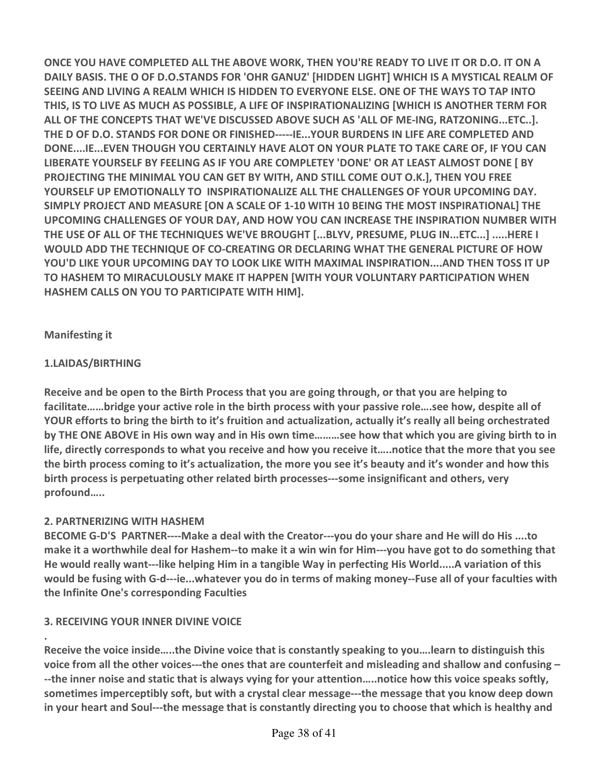**ONCE YOU HAVE COMPLETED ALL THE ABOVE WORK, THEN YOU'RE READY TO LIVE IT OR D.O. IT ON A DAILY BASIS. THE O OF D.O.STANDS FOR 'OHR GANUZ' [HIDDEN LIGHT] WHICH IS A MYSTICAL REALM OF SEEING AND LIVING A REALM WHICH IS HIDDEN TO EVERYONE ELSE. ONE OF THE WAYS TO TAP INTO THIS, IS TO LIVE AS MUCH AS POSSIBLE, A LIFE OF INSPIRATIONALIZING [WHICH IS ANOTHER TERM FOR ALL OF THE CONCEPTS THAT WE'VE DISCUSSED ABOVE SUCH AS 'ALL OF ME-ING, RATZONING...ETC..]. THE D OF D.O. STANDS FOR DONE OR FINISHED-----IE...YOUR BURDENS IN LIFE ARE COMPLETED AND DONE....IE...EVEN THOUGH YOU CERTAINLY HAVE ALOT ON YOUR PLATE TO TAKE CARE OF, IF YOU CAN LIBERATE YOURSELF BY FEELING AS IF YOU ARE COMPLETEY 'DONE' OR AT LEAST ALMOST DONE [ BY PROJECTING THE MINIMAL YOU CAN GET BY WITH, AND STILL COME OUT O.K.], THEN YOU FREE YOURSELF UP EMOTIONALLY TO INSPIRATIONALIZE ALL THE CHALLENGES OF YOUR UPCOMING DAY. SIMPLY PROJECT AND MEASURE [ON A SCALE OF 1-10 WITH 10 BEING THE MOST INSPIRATIONAL] THE UPCOMING CHALLENGES OF YOUR DAY, AND HOW YOU CAN INCREASE THE INSPIRATION NUMBER WITH THE USE OF ALL OF THE TECHNIQUES WE'VE BROUGHT [...BLYV, PRESUME, PLUG IN...ETC...] .....HERE I WOULD ADD THE TECHNIQUE OF CO-CREATING OR DECLARING WHAT THE GENERAL PICTURE OF HOW YOU'D LIKE YOUR UPCOMING DAY TO LOOK LIKE WITH MAXIMAL INSPIRATION....AND THEN TOSS IT UP TO HASHEM TO MIRACULOUSLY MAKE IT HAPPEN [WITH YOUR VOLUNTARY PARTICIPATION WHEN HASHEM CALLS ON YOU TO PARTICIPATE WITH HIM].** 

#### **Manifesting it**

**.** 

#### **1.LAIDAS/BIRTHING**

**Receive and be open to the Birth Process that you are going through, or that you are helping to facilitate……bridge your active role in the birth process with your passive role….see how, despite all of YOUR efforts to bring the birth to it's fruition and actualization, actually it's really all being orchestrated by THE ONE ABOVE in His own way and in His own time………see how that which you are giving birth to in life, directly corresponds to what you receive and how you receive it…..notice that the more that you see the birth process coming to it's actualization, the more you see it's beauty and it's wonder and how this birth process is perpetuating other related birth processes---some insignificant and others, very profound…..** 

#### **2. PARTNERIZING WITH HASHEM**

**BECOME G-D'S PARTNER----Make a deal with the Creator---you do your share and He will do His ....to make it a worthwhile deal for Hashem--to make it a win win for Him---you have got to do something that He would really want---like helping Him in a tangible Way in perfecting His World.....A variation of this would be fusing with G-d---ie...whatever you do in terms of making money--Fuse all of your faculties with the Infinite One's corresponding Faculties** 

#### **3. RECEIVING YOUR INNER DIVINE VOICE**

**Receive the voice inside…..the Divine voice that is constantly speaking to you….learn to distinguish this voice from all the other voices---the ones that are counterfeit and misleading and shallow and confusing – --the inner noise and static that is always vying for your attention…..notice how this voice speaks softly, sometimes imperceptibly soft, but with a crystal clear message---the message that you know deep down in your heart and Soul---the message that is constantly directing you to choose that which is healthy and**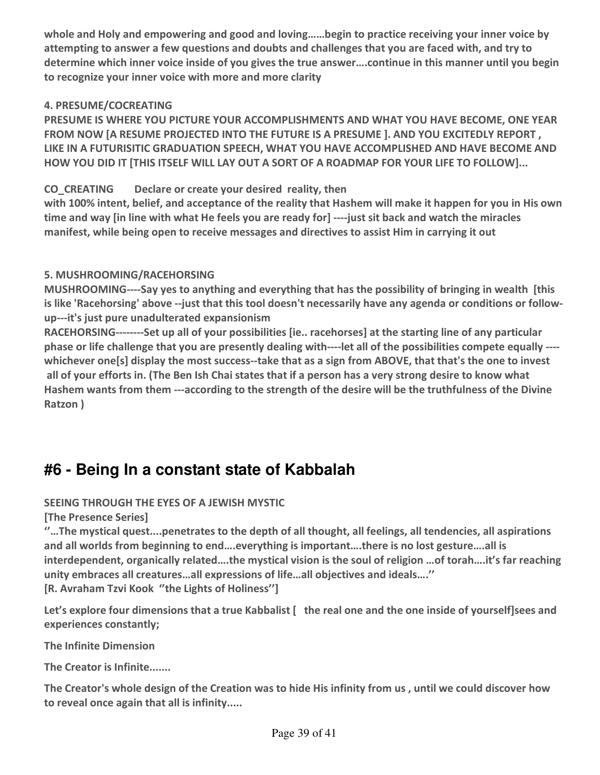**whole and Holy and empowering and good and loving……begin to practice receiving your inner voice by attempting to answer a few questions and doubts and challenges that you are faced with, and try to determine which inner voice inside of you gives the true answer….continue in this manner until you begin to recognize your inner voice with more and more clarity** 

#### **4. PRESUME/COCREATING**

**PRESUME IS WHERE YOU PICTURE YOUR ACCOMPLISHMENTS AND WHAT YOU HAVE BECOME, ONE YEAR FROM NOW [A RESUME PROJECTED INTO THE FUTURE IS A PRESUME ]. AND YOU EXCITEDLY REPORT , LIKE IN A FUTURISITIC GRADUATION SPEECH, WHAT YOU HAVE ACCOMPLISHED AND HAVE BECOME AND HOW YOU DID IT [THIS ITSELF WILL LAY OUT A SORT OF A ROADMAP FOR YOUR LIFE TO FOLLOW]...** 

#### **CO\_CREATING Declare or create your desired reality, then**

**with 100% intent, belief, and acceptance of the reality that Hashem will make it happen for you in His own time and way [in line with what He feels you are ready for] ----just sit back and watch the miracles manifest, while being open to receive messages and directives to assist Him in carrying it out** 

#### **5. MUSHROOMING/RACEHORSING**

**MUSHROOMING----Say yes to anything and everything that has the possibility of bringing in wealth [this is like 'Racehorsing' above --just that this tool doesn't necessarily have any agenda or conditions or followup---it's just pure unadulterated expansionism** 

**RACEHORSING--------Set up all of your possibilities [ie.. racehorses] at the starting line of any particular phase or life challenge that you are presently dealing with----let all of the possibilities compete equally --- whichever one[s] display the most success--take that as a sign from ABOVE, that that's the one to invest all of your efforts in. (The Ben Ish Chai states that if a person has a very strong desire to know what Hashem wants from them ---according to the strength of the desire will be the truthfulness of the Divine Ratzon )** 

## **#6 - Being In a constant state of Kabbalah**

#### **SEEING THROUGH THE EYES OF A JEWISH MYSTIC**

**[The Presence Series]** 

**''…The mystical quest....penetrates to the depth of all thought, all feelings, all tendencies, all aspirations and all worlds from beginning to end….everything is important….there is no lost gesture….all is interdependent, organically related….the mystical vision is the soul of religion …of torah….it's far reaching unity embraces all creatures…all expressions of life…all objectives and ideals….'' [R. Avraham Tzvi Kook ''the Lights of Holiness'']** 

**Let's explore four dimensions that a true Kabbalist [ the real one and the one inside of yourself]sees and experiences constantly;** 

**The Infinite Dimension** 

**The Creator is Infinite.......** 

**The Creator's whole design of the Creation was to hide His infinity from us , until we could discover how to reveal once again that all is infinity.....**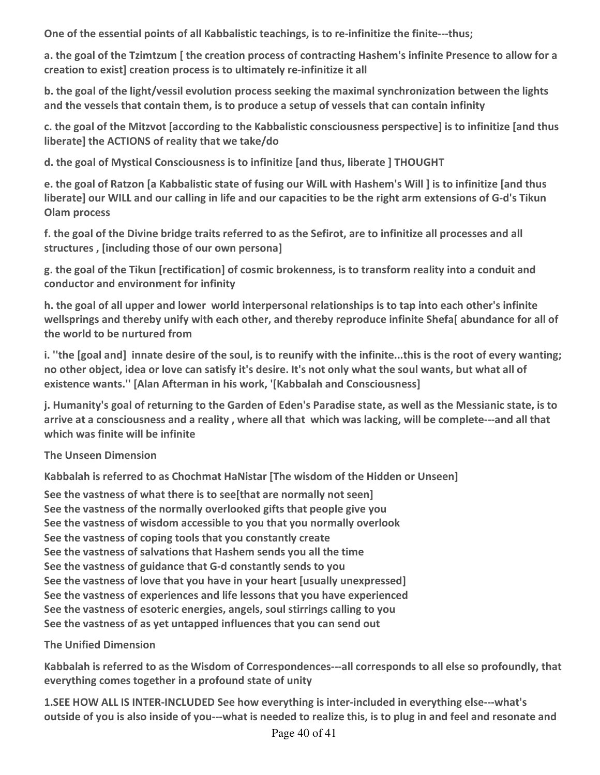**One of the essential points of all Kabbalistic teachings, is to re-infinitize the finite---thus;** 

**a. the goal of the Tzimtzum [ the creation process of contracting Hashem's infinite Presence to allow for a creation to exist] creation process is to ultimately re-infinitize it all** 

**b. the goal of the light/vessil evolution process seeking the maximal synchronization between the lights and the vessels that contain them, is to produce a setup of vessels that can contain infinity** 

**c. the goal of the Mitzvot [according to the Kabbalistic consciousness perspective] is to infinitize [and thus liberate] the ACTIONS of reality that we take/do** 

**d. the goal of Mystical Consciousness is to infinitize [and thus, liberate ] THOUGHT** 

**e. the goal of Ratzon [a Kabbalistic state of fusing our WilL with Hashem's Will ] is to infinitize [and thus liberate] our WILL and our calling in life and our capacities to be the right arm extensions of G-d's Tikun Olam process** 

**f. the goal of the Divine bridge traits referred to as the Sefirot, are to infinitize all processes and all structures , [including those of our own persona]** 

**g. the goal of the Tikun [rectification] of cosmic brokenness, is to transform reality into a conduit and conductor and environment for infinity** 

**h. the goal of all upper and lower world interpersonal relationships is to tap into each other's infinite wellsprings and thereby unify with each other, and thereby reproduce infinite Shefa[ abundance for all of the world to be nurtured from** 

**i. ''the [goal and] innate desire of the soul, is to reunify with the infinite...this is the root of every wanting; no other object, idea or love can satisfy it's desire. It's not only what the soul wants, but what all of existence wants.'' [Alan Afterman in his work, '[Kabbalah and Consciousness]** 

**j. Humanity's goal of returning to the Garden of Eden's Paradise state, as well as the Messianic state, is to arrive at a consciousness and a reality , where all that which was lacking, will be complete---and all that which was finite will be infinite** 

#### **The Unseen Dimension**

**Kabbalah is referred to as Chochmat HaNistar [The wisdom of the Hidden or Unseen]** 

**See the vastness of what there is to see[that are normally not seen] See the vastness of the normally overlooked gifts that people give you See the vastness of wisdom accessible to you that you normally overlook See the vastness of coping tools that you constantly create See the vastness of salvations that Hashem sends you all the time See the vastness of guidance that G-d constantly sends to you See the vastness of love that you have in your heart [usually unexpressed] See the vastness of experiences and life lessons that you have experienced See the vastness of esoteric energies, angels, soul stirrings calling to you See the vastness of as yet untapped influences that you can send out** 

#### **The Unified Dimension**

**Kabbalah is referred to as the Wisdom of Correspondences---all corresponds to all else so profoundly, that everything comes together in a profound state of unity** 

**1.SEE HOW ALL IS INTER-INCLUDED See how everything is inter-included in everything else---what's outside of you is also inside of you---what is needed to realize this, is to plug in and feel and resonate and**